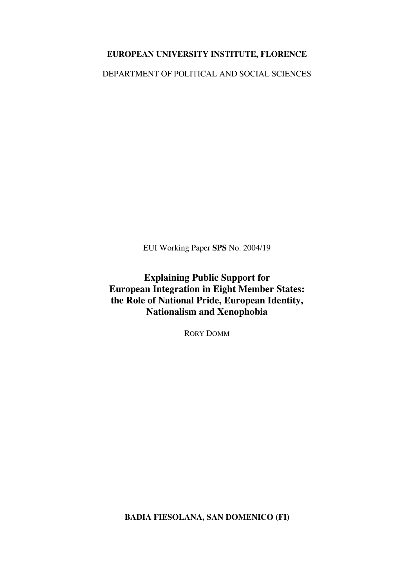# **EUROPEAN UNIVERSITY INSTITUTE, FLORENCE**

DEPARTMENT OF POLITICAL AND SOCIAL SCIENCES

EUI Working Paper **SPS** No. 2004/19

**Explaining Public Support for European Integration in Eight Member States: the Role of National Pride, European Identity, Nationalism and Xenophobia**

RORY DOMM

**BADIA FIESOLANA, SAN DOMENICO (FI)**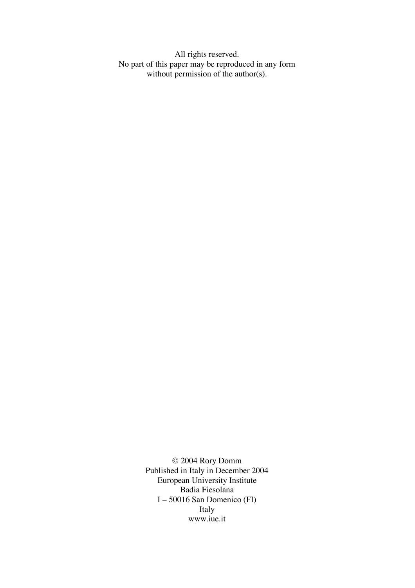All rights reserved. No part of this paper may be reproduced in any form without permission of the author(s).

> © 2004 Rory Domm Published in Italy in December 2004 European University Institute Badia Fiesolana I – 50016 San Domenico (FI) Italy www.iue.it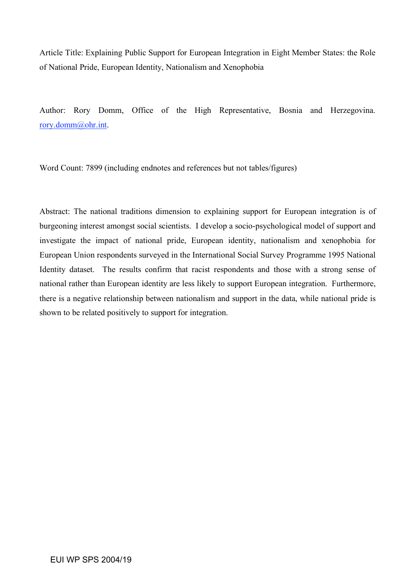Article Title: Explaining Public Support for European Integration in Eight Member States: the Role of National Pride, European Identity, Nationalism and Xenophobia

Author: Rory Domm, Office of the High Representative, Bosnia and Herzegovina. rory.domm@ohr.int.

Word Count: 7899 (including endnotes and references but not tables/figures)

Abstract: The national traditions dimension to explaining support for European integration is of burgeoning interest amongst social scientists. I develop a socio-psychological model of support and investigate the impact of national pride, European identity, nationalism and xenophobia for European Union respondents surveyed in the International Social Survey Programme 1995 National Identity dataset. The results confirm that racist respondents and those with a strong sense of national rather than European identity are less likely to support European integration. Furthermore, there is a negative relationship between nationalism and support in the data, while national pride is shown to be related positively to support for integration.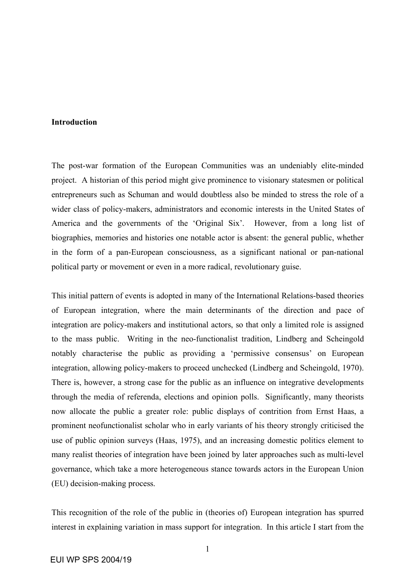## **Introduction**

The post-war formation of the European Communities was an undeniably elite-minded project. A historian of this period might give prominence to visionary statesmen or political entrepreneurs such as Schuman and would doubtless also be minded to stress the role of a wider class of policy-makers, administrators and economic interests in the United States of America and the governments of the 'Original Six'. However, from a long list of biographies, memories and histories one notable actor is absent: the general public, whether in the form of a pan-European consciousness, as a significant national or pan-national political party or movement or even in a more radical, revolutionary guise.

This initial pattern of events is adopted in many of the International Relations-based theories of European integration, where the main determinants of the direction and pace of integration are policy-makers and institutional actors, so that only a limited role is assigned to the mass public. Writing in the neo-functionalist tradition, Lindberg and Scheingold notably characterise the public as providing a 'permissive consensus' on European integration, allowing policy-makers to proceed unchecked (Lindberg and Scheingold, 1970). There is, however, a strong case for the public as an influence on integrative developments through the media of referenda, elections and opinion polls. Significantly, many theorists now allocate the public a greater role: public displays of contrition from Ernst Haas, a prominent neofunctionalist scholar who in early variants of his theory strongly criticised the use of public opinion surveys (Haas, 1975), and an increasing domestic politics element to many realist theories of integration have been joined by later approaches such as multi-level governance, which take a more heterogeneous stance towards actors in the European Union (EU) decision-making process.

This recognition of the role of the public in (theories of) European integration has spurred interest in explaining variation in mass support for integration. In this article I start from the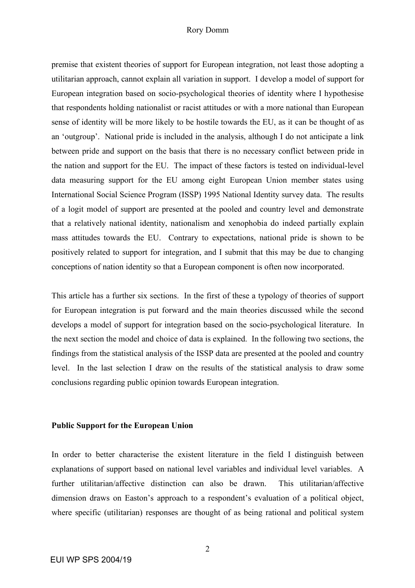#### Rory Domm

premise that existent theories of support for European integration, not least those adopting a utilitarian approach, cannot explain all variation in support. I develop a model of support for European integration based on socio-psychological theories of identity where I hypothesise that respondents holding nationalist or racist attitudes or with a more national than European sense of identity will be more likely to be hostile towards the EU, as it can be thought of as an 'outgroup'. National pride is included in the analysis, although I do not anticipate a link between pride and support on the basis that there is no necessary conflict between pride in the nation and support for the EU. The impact of these factors is tested on individual-level data measuring support for the EU among eight European Union member states using International Social Science Program (ISSP) 1995 National Identity survey data. The results of a logit model of support are presented at the pooled and country level and demonstrate that a relatively national identity, nationalism and xenophobia do indeed partially explain mass attitudes towards the EU. Contrary to expectations, national pride is shown to be positively related to support for integration, and I submit that this may be due to changing conceptions of nation identity so that a European component is often now incorporated.

This article has a further six sections. In the first of these a typology of theories of support for European integration is put forward and the main theories discussed while the second develops a model of support for integration based on the socio-psychological literature. In the next section the model and choice of data is explained. In the following two sections, the findings from the statistical analysis of the ISSP data are presented at the pooled and country level. In the last selection I draw on the results of the statistical analysis to draw some conclusions regarding public opinion towards European integration.

#### **Public Support for the European Union**

In order to better characterise the existent literature in the field I distinguish between explanations of support based on national level variables and individual level variables. A further utilitarian/affective distinction can also be drawn. This utilitarian/affective dimension draws on Easton's approach to a respondent's evaluation of a political object, where specific (utilitarian) responses are thought of as being rational and political system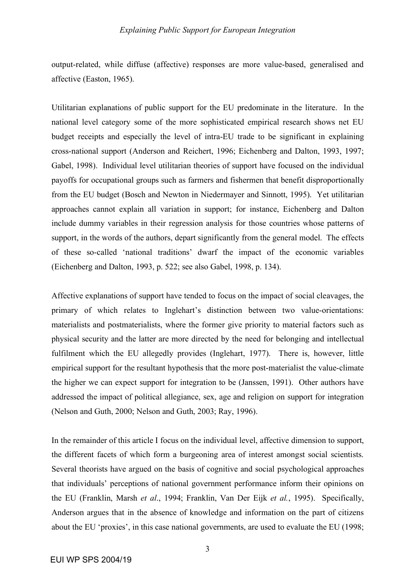output-related, while diffuse (affective) responses are more value-based, generalised and affective (Easton, 1965).

Utilitarian explanations of public support for the EU predominate in the literature. In the national level category some of the more sophisticated empirical research shows net EU budget receipts and especially the level of intra-EU trade to be significant in explaining cross-national support (Anderson and Reichert, 1996; Eichenberg and Dalton, 1993, 1997; Gabel, 1998). Individual level utilitarian theories of support have focused on the individual payoffs for occupational groups such as farmers and fishermen that benefit disproportionally from the EU budget (Bosch and Newton in Niedermayer and Sinnott, 1995). Yet utilitarian approaches cannot explain all variation in support; for instance, Eichenberg and Dalton include dummy variables in their regression analysis for those countries whose patterns of support, in the words of the authors, depart significantly from the general model. The effects of these so-called 'national traditions' dwarf the impact of the economic variables (Eichenberg and Dalton, 1993, p. 522; see also Gabel, 1998, p. 134).

Affective explanations of support have tended to focus on the impact of social cleavages, the primary of which relates to Inglehart's distinction between two value-orientations: materialists and postmaterialists, where the former give priority to material factors such as physical security and the latter are more directed by the need for belonging and intellectual fulfilment which the EU allegedly provides (Inglehart, 1977). There is, however, little empirical support for the resultant hypothesis that the more post-materialist the value-climate the higher we can expect support for integration to be (Janssen, 1991). Other authors have addressed the impact of political allegiance, sex, age and religion on support for integration (Nelson and Guth, 2000; Nelson and Guth, 2003; Ray, 1996).

In the remainder of this article I focus on the individual level, affective dimension to support, the different facets of which form a burgeoning area of interest amongst social scientists. Several theorists have argued on the basis of cognitive and social psychological approaches that individuals' perceptions of national government performance inform their opinions on the EU (Franklin, Marsh *et al*., 1994; Franklin, Van Der Eijk *et al.*, 1995). Specifically, Anderson argues that in the absence of knowledge and information on the part of citizens about the EU 'proxies', in this case national governments, are used to evaluate the EU (1998;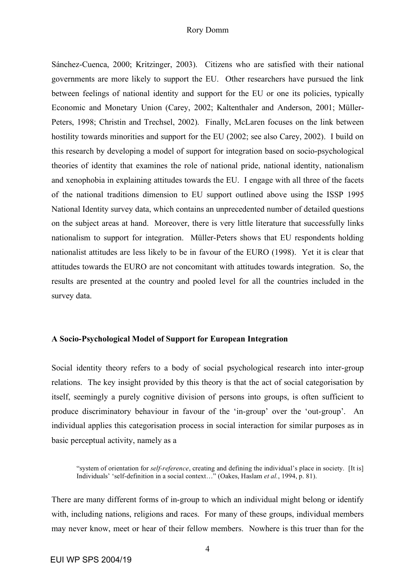#### Rory Domm

Sánchez-Cuenca, 2000; Kritzinger, 2003). Citizens who are satisfied with their national governments are more likely to support the EU. Other researchers have pursued the link between feelings of national identity and support for the EU or one its policies, typically Economic and Monetary Union (Carey, 2002; Kaltenthaler and Anderson, 2001; Müller-Peters, 1998; Christin and Trechsel, 2002). Finally, McLaren focuses on the link between hostility towards minorities and support for the EU (2002; see also Carey, 2002). I build on this research by developing a model of support for integration based on socio-psychological theories of identity that examines the role of national pride, national identity, nationalism and xenophobia in explaining attitudes towards the EU. I engage with all three of the facets of the national traditions dimension to EU support outlined above using the ISSP 1995 National Identity survey data, which contains an unprecedented number of detailed questions on the subject areas at hand. Moreover, there is very little literature that successfully links nationalism to support for integration. Müller-Peters shows that EU respondents holding nationalist attitudes are less likely to be in favour of the EURO (1998). Yet it is clear that attitudes towards the EURO are not concomitant with attitudes towards integration. So, the results are presented at the country and pooled level for all the countries included in the survey data.

## **A Socio-Psychological Model of Support for European Integration**

Social identity theory refers to a body of social psychological research into inter-group relations. The key insight provided by this theory is that the act of social categorisation by itself, seemingly a purely cognitive division of persons into groups, is often sufficient to produce discriminatory behaviour in favour of the 'in-group' over the 'out-group'. An individual applies this categorisation process in social interaction for similar purposes as in basic perceptual activity, namely as a

"system of orientation for *self-reference*, creating and defining the individual's place in society. [It is] Individuals' 'self-definition in a social context…" (Oakes, Haslam *et al.*, 1994, p. 81).

There are many different forms of in-group to which an individual might belong or identify with, including nations, religions and races. For many of these groups, individual members may never know, meet or hear of their fellow members. Nowhere is this truer than for the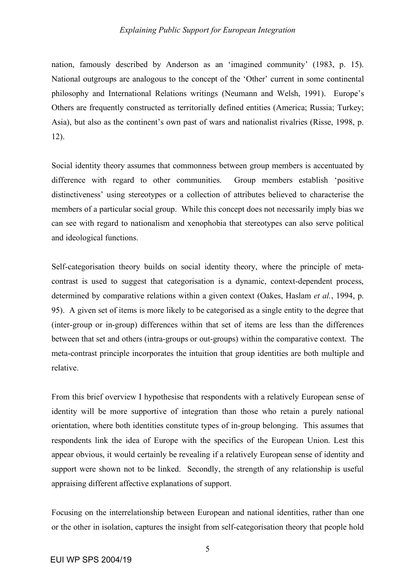nation, famously described by Anderson as an 'imagined community' (1983, p. 15). National outgroups are analogous to the concept of the 'Other' current in some continental philosophy and International Relations writings (Neumann and Welsh, 1991). Europe's Others are frequently constructed as territorially defined entities (America; Russia; Turkey; Asia), but also as the continent's own past of wars and nationalist rivalries (Risse, 1998, p. 12).

Social identity theory assumes that commonness between group members is accentuated by difference with regard to other communities. Group members establish 'positive distinctiveness' using stereotypes or a collection of attributes believed to characterise the members of a particular social group. While this concept does not necessarily imply bias we can see with regard to nationalism and xenophobia that stereotypes can also serve political and ideological functions.

Self-categorisation theory builds on social identity theory, where the principle of metacontrast is used to suggest that categorisation is a dynamic, context-dependent process, determined by comparative relations within a given context (Oakes, Haslam *et al.*, 1994, p. 95). A given set of items is more likely to be categorised as a single entity to the degree that (inter-group or in-group) differences within that set of items are less than the differences between that set and others (intra-groups or out-groups) within the comparative context. The meta-contrast principle incorporates the intuition that group identities are both multiple and relative.

From this brief overview I hypothesise that respondents with a relatively European sense of identity will be more supportive of integration than those who retain a purely national orientation, where both identities constitute types of in-group belonging. This assumes that respondents link the idea of Europe with the specifics of the European Union. Lest this appear obvious, it would certainly be revealing if a relatively European sense of identity and support were shown not to be linked. Secondly, the strength of any relationship is useful appraising different affective explanations of support.

Focusing on the interrelationship between European and national identities, rather than one or the other in isolation, captures the insight from self-categorisation theory that people hold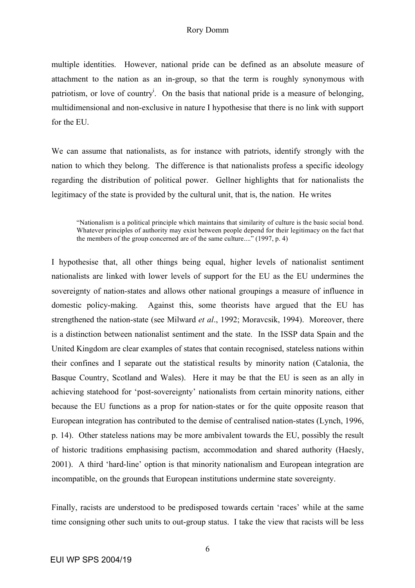multiple identities. However, national pride can be defined as an absolute measure of attachment to the nation as an in-group, so that the term is roughly synonymous with patriotism, or love of country<sup>i</sup>. On the basis that national pride is a measure of belonging, multidimensional and non-exclusive in nature I hypothesise that there is no link with support for the EU.

We can assume that nationalists, as for instance with patriots, identify strongly with the nation to which they belong. The difference is that nationalists profess a specific ideology regarding the distribution of political power. Gellner highlights that for nationalists the legitimacy of the state is provided by the cultural unit, that is, the nation. He writes

"Nationalism is a political principle which maintains that similarity of culture is the basic social bond. Whatever principles of authority may exist between people depend for their legitimacy on the fact that the members of the group concerned are of the same culture...." (1997, p. 4)

I hypothesise that, all other things being equal, higher levels of nationalist sentiment nationalists are linked with lower levels of support for the EU as the EU undermines the sovereignty of nation-states and allows other national groupings a measure of influence in domestic policy-making. Against this, some theorists have argued that the EU has strengthened the nation-state (see Milward *et al*., 1992; Moravcsik, 1994). Moreover, there is a distinction between nationalist sentiment and the state. In the ISSP data Spain and the United Kingdom are clear examples of states that contain recognised, stateless nations within their confines and I separate out the statistical results by minority nation (Catalonia, the Basque Country, Scotland and Wales). Here it may be that the EU is seen as an ally in achieving statehood for 'post-sovereignty' nationalists from certain minority nations, either because the EU functions as a prop for nation-states or for the quite opposite reason that European integration has contributed to the demise of centralised nation-states (Lynch, 1996, p. 14). Other stateless nations may be more ambivalent towards the EU, possibly the result of historic traditions emphasising pactism, accommodation and shared authority (Haesly, 2001). A third 'hard-line' option is that minority nationalism and European integration are incompatible, on the grounds that European institutions undermine state sovereignty.

Finally, racists are understood to be predisposed towards certain 'races' while at the same time consigning other such units to out-group status. I take the view that racists will be less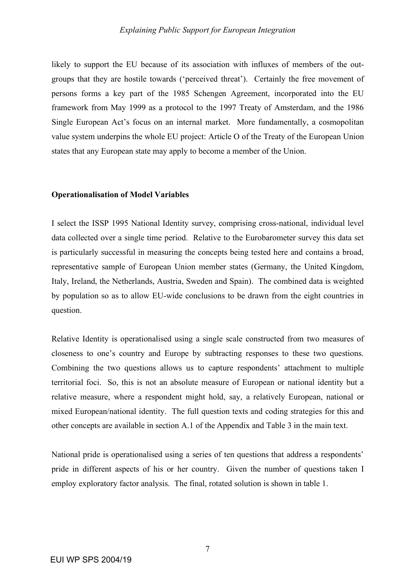likely to support the EU because of its association with influxes of members of the outgroups that they are hostile towards ('perceived threat'). Certainly the free movement of persons forms a key part of the 1985 Schengen Agreement, incorporated into the EU framework from May 1999 as a protocol to the 1997 Treaty of Amsterdam, and the 1986 Single European Act's focus on an internal market. More fundamentally, a cosmopolitan value system underpins the whole EU project: Article O of the Treaty of the European Union states that any European state may apply to become a member of the Union.

## **Operationalisation of Model Variables**

I select the ISSP 1995 National Identity survey, comprising cross-national, individual level data collected over a single time period. Relative to the Eurobarometer survey this data set is particularly successful in measuring the concepts being tested here and contains a broad, representative sample of European Union member states (Germany, the United Kingdom, Italy, Ireland, the Netherlands, Austria, Sweden and Spain). The combined data is weighted by population so as to allow EU-wide conclusions to be drawn from the eight countries in question.

Relative Identity is operationalised using a single scale constructed from two measures of closeness to one's country and Europe by subtracting responses to these two questions. Combining the two questions allows us to capture respondents' attachment to multiple territorial foci. So, this is not an absolute measure of European or national identity but a relative measure, where a respondent might hold, say, a relatively European, national or mixed European/national identity. The full question texts and coding strategies for this and other concepts are available in section A.1 of the Appendix and Table 3 in the main text.

National pride is operationalised using a series of ten questions that address a respondents' pride in different aspects of his or her country. Given the number of questions taken I employ exploratory factor analysis. The final, rotated solution is shown in table 1.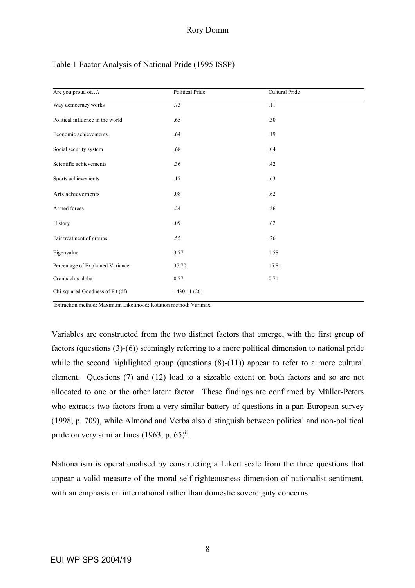| Are you proud of?                | Political Pride | Cultural Pride |
|----------------------------------|-----------------|----------------|
| Way democracy works              | .73             | .11            |
| Political influence in the world | .65             | .30            |
| Economic achievements            | .64             | .19            |
| Social security system           | .68             | .04            |
| Scientific achievements          | .36             | .42            |
| Sports achievements              | .17             | .63            |
| Arts achievements                | .08             | .62            |
| Armed forces                     | .24             | .56            |
| History                          | .09             | .62            |
| Fair treatment of groups         | .55             | .26            |
| Eigenvalue                       | 3.77            | 1.58           |
| Percentage of Explained Variance | 37.70           | 15.81          |
| Cronbach's alpha                 | 0.77            | 0.71           |
| Chi-squared Goodness of Fit (df) | 1430.11(26)     |                |

# Table 1 Factor Analysis of National Pride (1995 ISSP)

Extraction method: Maximum Likelihood; Rotation method: Varimax

Variables are constructed from the two distinct factors that emerge, with the first group of factors (questions (3)-(6)) seemingly referring to a more political dimension to national pride while the second highlighted group (questions  $(8)-(11)$ ) appear to refer to a more cultural element. Questions (7) and (12) load to a sizeable extent on both factors and so are not allocated to one or the other latent factor. These findings are confirmed by Müller-Peters who extracts two factors from a very similar battery of questions in a pan-European survey (1998, p. 709), while Almond and Verba also distinguish between political and non-political pride on very similar lines  $(1963, p. 65)$ <sup>ii</sup>.

Nationalism is operationalised by constructing a Likert scale from the three questions that appear a valid measure of the moral self-righteousness dimension of nationalist sentiment, with an emphasis on international rather than domestic sovereignty concerns.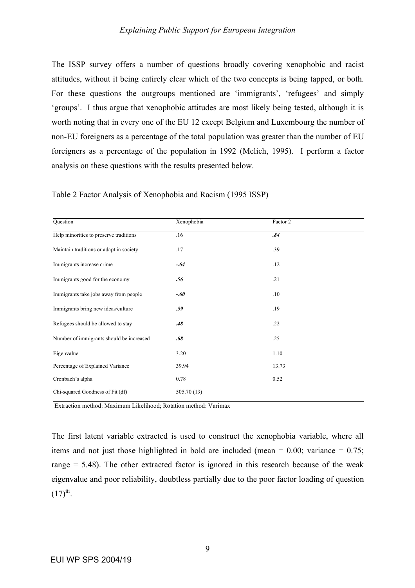The ISSP survey offers a number of questions broadly covering xenophobic and racist attitudes, without it being entirely clear which of the two concepts is being tapped, or both. For these questions the outgroups mentioned are 'immigrants', 'refugees' and simply 'groups'. I thus argue that xenophobic attitudes are most likely being tested, although it is worth noting that in every one of the EU 12 except Belgium and Luxembourg the number of non-EU foreigners as a percentage of the total population was greater than the number of EU foreigners as a percentage of the population in 1992 (Melich, 1995). I perform a factor analysis on these questions with the results presented below.

| Question                                 | Xenophobia  | Factor 2 |
|------------------------------------------|-------------|----------|
| Help minorities to preserve traditions   | .16         | .84      |
| Maintain traditions or adapt in society  | .17         | .39      |
| Immigrants increase crime                | $-.64$      | .12      |
| Immigrants good for the economy          | .56         | .21      |
| Immigrants take jobs away from people    | $-.60$      | .10      |
| Immigrants bring new ideas/culture       | .59         | .19      |
| Refugees should be allowed to stay       | .48         | .22      |
| Number of immigrants should be increased | .68         | .25      |
| Eigenvalue                               | 3.20        | 1.10     |
| Percentage of Explained Variance         | 39.94       | 13.73    |
| Cronbach's alpha                         | 0.78        | 0.52     |
| Chi-squared Goodness of Fit (df)         | 505.70 (13) |          |

Table 2 Factor Analysis of Xenophobia and Racism (1995 ISSP)

Extraction method: Maximum Likelihood; Rotation method: Varimax

The first latent variable extracted is used to construct the xenophobia variable, where all items and not just those highlighted in bold are included (mean  $= 0.00$ ; variance  $= 0.75$ ; range  $= 5.48$ ). The other extracted factor is ignored in this research because of the weak eigenvalue and poor reliability, doubtless partially due to the poor factor loading of question  $(17)^{iii}$ .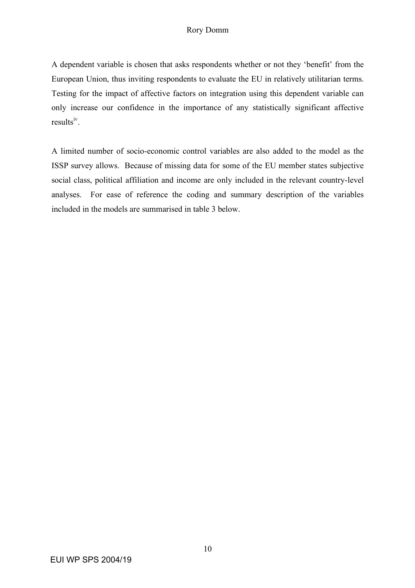# Rory Domm

A dependent variable is chosen that asks respondents whether or not they 'benefit' from the European Union, thus inviting respondents to evaluate the EU in relatively utilitarian terms. Testing for the impact of affective factors on integration using this dependent variable can only increase our confidence in the importance of any statistically significant affective results<sup>iv</sup>.

A limited number of socio-economic control variables are also added to the model as the ISSP survey allows. Because of missing data for some of the EU member states subjective social class, political affiliation and income are only included in the relevant country-level analyses. For ease of reference the coding and summary description of the variables included in the models are summarised in table 3 below.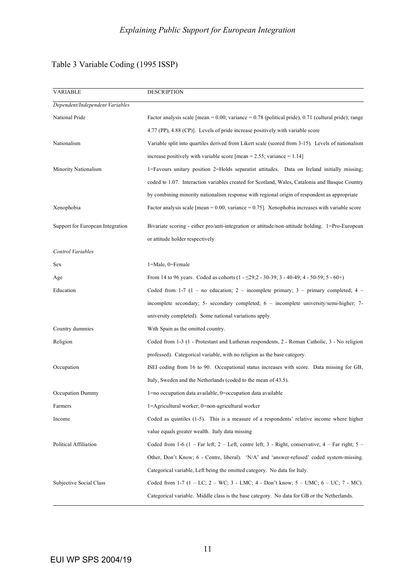# Table 3 Variable Coding (1995 ISSP)

| <b>VARIABLE</b>                  | <b>DESCRIPTION</b>                                                                                              |
|----------------------------------|-----------------------------------------------------------------------------------------------------------------|
| Dependent/Independent Variables  |                                                                                                                 |
| National Pride                   | Factor analysis scale [mean = $0.00$ ; variance = $0.78$ (political pride), 0.71 (cultural pride); range        |
|                                  | 4.77 (PP), 4.88 (CP)]. Levels of pride increase positively with variable score                                  |
| Nationalism                      | Variable split into quartiles derived from Likert scale (scored from 3-15). Levels of nationalism               |
|                                  | increase positively with variable score [mean = $2.55$ ; variance = $1.14$ ]                                    |
| Minority Nationalism             | 1=Favours unitary position 2=Holds separatist attitudes. Data on Ireland initially missing;                     |
|                                  | coded to 1.07. Interaction variables created for Scotland, Wales, Catalonia and Basque Country                  |
|                                  | by combining minority nationalism response with regional origin of respondent as appropriate                    |
| Xenophobia                       | Factor analysis scale [mean = $0.00$ ; variance = $0.75$ ]. Xenophobia increases with variable score            |
| Support for European Integration | Bivariate scoring - either pro/anti-integration or attitude/non-attitude holding. 1=Pro-European                |
|                                  | or attitude holder respectively                                                                                 |
| Control Variables                |                                                                                                                 |
| Sex                              | $1 =$ Male, $0 =$ Female                                                                                        |
| Age                              | From 14 to 96 years. Coded as cohorts $(1 - 29)$ ; $2 - 30 - 39$ ; $3 - 40 - 49$ ; $4 - 50 - 59$ ; $5 - 60 +$ ) |
| Education                        | Coded from 1-7 (1 – no education; 2 – incomplete primary; 3 – primary completed; 4 –                            |
|                                  | incomplete secondary; 5- secondary completed; 6 - incomplete university/semi-higher; 7-                         |
|                                  | university completed). Some national variations apply.                                                          |
| Country dummies                  | With Spain as the omitted country.                                                                              |
| Religion                         | Coded from 1-3 (1 - Protestant and Lutheran respondents, 2 - Roman Catholic, 3 - No religion                    |
|                                  | professed). Categorical variable, with no religion as the base category.                                        |
| Occupation                       | ISEI coding from 16 to 90. Occupational status increases with score. Data missing for GB,                       |
|                                  | Italy, Sweden and the Netherlands (coded to the mean of 43.5).                                                  |
| Occupation Dummy                 | 1=no occupation data available, 0=occupation data available                                                     |
| Farmers                          | 1=Agricultural worker; 0=non-agricultural worker                                                                |
| Income                           | Coded as quintiles (1-5). This is a measure of a respondents' relative income where higher                      |
|                                  | value equals greater wealth. Italy data missing                                                                 |
| Political Affiliation            | Coded from 1-6 (1 – Far left; 2 – Left, centre left; 3 - Right, conservative; 4 – Far right; 5 –                |
|                                  | Other, Don't Know; 6 - Centre, liberal). 'N/A' and 'answer-refused' coded system-missing.                       |
|                                  | Categorical variable, Left being the omitted category. No data for Italy.                                       |
| Subjective Social Class          | Coded from 1-7 (1 – LC; 2 – WC; 3 - LMC; 4 - Don't know; 5 – UMC; 6 – UC; 7 - MC).                              |
|                                  | Categorical variable. Middle class is the base category. No data for GB or the Netherlands.                     |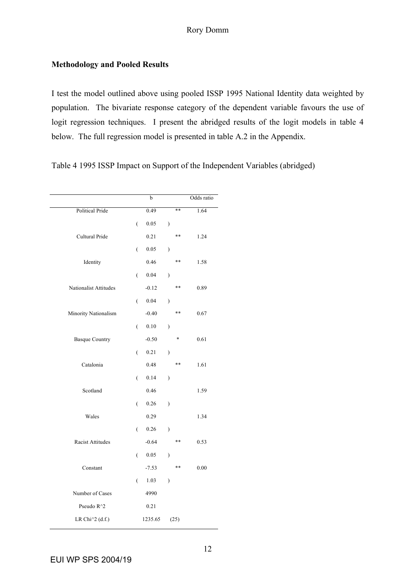# **Methodology and Pooled Results**

I test the model outlined above using pooled ISSP 1995 National Identity data weighted by population. The bivariate response category of the dependent variable favours the use of logit regression techniques. I present the abridged results of the logit models in table 4 below. The full regression model is presented in table A.2 in the Appendix.

Table 4 1995 ISSP Impact on Support of the Independent Variables (abridged)

|                        |                  | b        |                          |       | Odds ratio |
|------------------------|------------------|----------|--------------------------|-------|------------|
| <b>Political Pride</b> |                  | 0.49     |                          | **    | 1.64       |
|                        | $\overline{(\ }$ | 0.05     | $\mathcal{E}$            |       |            |
| Cultural Pride         |                  | 0.21     |                          | $***$ | 1.24       |
|                        | $\overline{(\ }$ | 0.05     | $\mathcal{E}$            |       |            |
| Identity               |                  | 0.46     |                          | **    | 1.58       |
|                        | $\overline{(\ }$ | 0.04     | $\mathcal{E}$            |       |            |
| Nationalist Attitudes  |                  | $-0.12$  |                          | **    | 0.89       |
|                        | $\overline{(\ }$ | 0.04     | $\mathcal{E}$            |       |            |
| Minority Nationalism   |                  | $-0.40$  |                          | **    | 0.67       |
|                        | $\overline{(}$   | $0.10\,$ | $\mathcal{E}$            |       |            |
| <b>Basque Country</b>  |                  | $-0.50$  |                          | *     | 0.61       |
|                        | $\overline{(\ }$ | 0.21     | $\overline{\phantom{a}}$ |       |            |
| Catalonia              |                  | 0.48     |                          | **    | 1.61       |
|                        | $\overline{(\ }$ | 0.14     | $\mathcal{E}$            |       |            |
| Scotland               |                  | 0.46     |                          |       | 1.59       |
|                        | $\overline{(\ }$ | $0.26\,$ | $\mathcal{E}$            |       |            |
| Wales                  |                  | 0.29     |                          |       | 1.34       |
|                        | $\overline{(\ }$ | $0.26\,$ | $\mathcal{E}$            |       |            |
| Racist Attitudes       |                  | $-0.64$  |                          | **    | 0.53       |
|                        | $\overline{(\ }$ | $0.05\,$ | $\mathcal{E}$            |       |            |
| Constant               |                  | $-7.53$  |                          | **    | $0.00\,$   |
|                        | $\overline{(}$   | 1.03     | $\mathcal{E}$            |       |            |
| Number of Cases        |                  | 4990     |                          |       |            |
| Pseudo R^2             |                  | 0.21     |                          |       |            |
| LR Chi^2 (d.f.)        |                  | 1235.65  |                          | (25)  |            |
|                        |                  |          |                          |       |            |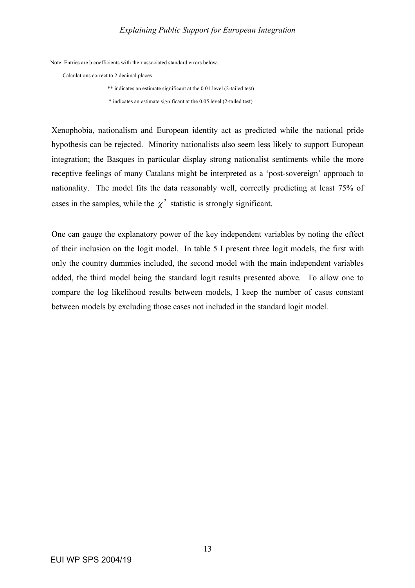Note: Entries are b coefficients with their associated standard errors below.

Calculations correct to 2 decimal places

\*\* indicates an estimate significant at the 0.01 level (2-tailed test)

\* indicates an estimate significant at the 0.05 level (2-tailed test)

Xenophobia, nationalism and European identity act as predicted while the national pride hypothesis can be rejected. Minority nationalists also seem less likely to support European integration; the Basques in particular display strong nationalist sentiments while the more receptive feelings of many Catalans might be interpreted as a 'post-sovereign' approach to nationality. The model fits the data reasonably well, correctly predicting at least 75% of cases in the samples, while the  $\chi^2$  statistic is strongly significant.

One can gauge the explanatory power of the key independent variables by noting the effect of their inclusion on the logit model. In table 5 I present three logit models, the first with only the country dummies included, the second model with the main independent variables added, the third model being the standard logit results presented above. To allow one to compare the log likelihood results between models, I keep the number of cases constant between models by excluding those cases not included in the standard logit model.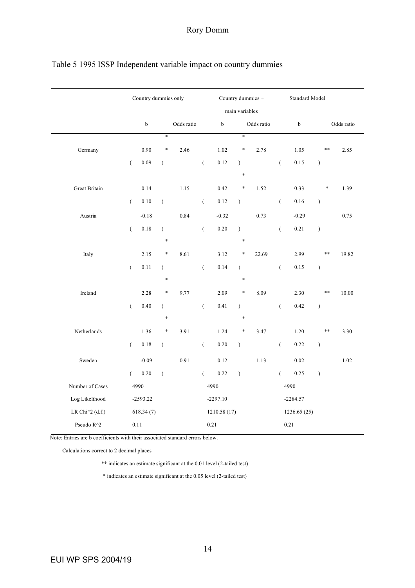|                 |                      | Country dummies only |               |            |                  |              | Country dummies + |            |                  | Standard Model |               |            |
|-----------------|----------------------|----------------------|---------------|------------|------------------|--------------|-------------------|------------|------------------|----------------|---------------|------------|
|                 |                      |                      |               |            |                  |              | main variables    |            |                  |                |               |            |
|                 |                      | $\mathbf b$          |               | Odds ratio |                  | $\bf b$      |                   | Odds ratio |                  | $\rm b$        |               | Odds ratio |
|                 |                      |                      | $\ast$        |            |                  |              | $\ast$            |            |                  |                |               |            |
| Germany         |                      | 0.90                 | $\ast$        | 2.46       |                  | 1.02         | *                 | 2.78       |                  | 1.05           | $\ast\ast$    | 2.85       |
|                 | $\overline{(\ }$     | $0.09\,$             | $\mathcal{E}$ |            | $\big($          | 0.12         | $\lambda$         |            | $\overline{(\ }$ | 0.15           | $\big)$       |            |
|                 |                      |                      |               |            |                  |              | $\ast$            |            |                  |                |               |            |
| Great Britain   |                      | 0.14                 |               | 1.15       |                  | 0.42         | *                 | 1.52       |                  | 0.33           | $\ast$        | 1.39       |
|                 | $\overline{(\cdot)}$ | $0.10\,$             | $\mathcal{E}$ |            | $\big($          | $0.12\,$     | $\mathcal{L}$     |            | $\left($         | $0.16\,$       | $\big)$       |            |
| Austria         |                      | $-0.18$              |               | 0.84       |                  | $-0.32$      |                   | 0.73       |                  | $-0.29$        |               | 0.75       |
|                 | $\overline{(}$       | $0.18\,$             | $\mathcal{E}$ |            | $\big($          | $0.20\,$     | $\mathcal{L}$     |            | $\overline{(\ }$ | 0.21           | $\big)$       |            |
|                 |                      |                      | $\ast$        |            |                  |              | $\ast$            |            |                  |                |               |            |
| Italy           |                      | 2.15                 | $\ast$        | 8.61       |                  | 3.12         | *                 | 22.69      |                  | 2.99           | $***$         | 19.82      |
|                 | $\overline{(\ }$     | 0.11                 | $\mathcal{E}$ |            | $\big($          | 0.14         | $\lambda$         |            | $\overline{(\ }$ | 0.15           | $\big)$       |            |
|                 |                      |                      | $\ast$        |            |                  |              | *                 |            |                  |                |               |            |
| Ireland         |                      | 2.28                 | $\ast$        | 9.77       |                  | 2.09         | *                 | 8.09       |                  | 2.30           | $***$         | 10.00      |
|                 | $\overline{(\cdot)}$ | $0.40\,$             | $\mathcal{E}$ |            | $\overline{(}$   | 0.41         | $\lambda$         |            | $\overline{(}$   | 0.42           | $\big)$       |            |
|                 |                      |                      | $\ast$        |            |                  |              | $\ast$            |            |                  |                |               |            |
| Netherlands     |                      | 1.36                 | $\ast$        | 3.91       |                  | 1.24         | $\ast$            | 3.47       |                  | 1.20           | $\ast\ast$    | 3.30       |
|                 | $\overline{(\ }$     | $0.18\,$             | $\big)$       |            | $\big($          | $0.20\,$     | $\big)$           |            | $\overline{(\ }$ | 0.22           | $\big)$       |            |
| Sweden          |                      | $-0.09$              |               | 0.91       |                  | 0.12         |                   | 1.13       |                  | 0.02           |               | 1.02       |
|                 | $\overline{(\ }$     | $0.20\,$             | $\mathcal{E}$ |            | $\overline{(\ }$ | 0.22         | $\mathcal{L}$     |            | $\left($         | 0.25           | $\mathcal{E}$ |            |
| Number of Cases |                      | 4990                 |               |            |                  | 4990         |                   |            |                  | 4990           |               |            |
| Log Likelihood  |                      | $-2593.22$           |               |            |                  | $-2297.10$   |                   |            |                  | $-2284.57$     |               |            |
| LR Chi^2 (d.f.) |                      | 618.34(7)            |               |            |                  | 1210.58 (17) |                   |            |                  | 1236.65 (25)   |               |            |
| Pseudo R^2      |                      | $0.11\,$             |               |            |                  | 0.21         |                   |            |                  | 0.21           |               |            |
|                 |                      |                      |               |            |                  |              |                   |            |                  |                |               |            |

# Table 5 1995 ISSP Independent variable impact on country dummies

Note: Entries are b coefficients with their associated standard errors below.

Calculations correct to 2 decimal places

\*\* indicates an estimate significant at the 0.01 level (2-tailed test)

\* indicates an estimate significant at the 0.05 level (2-tailed test)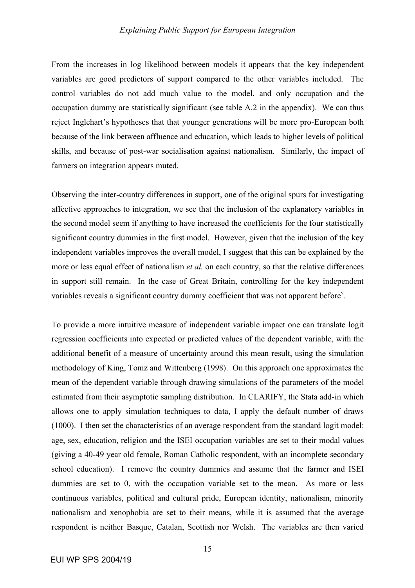From the increases in log likelihood between models it appears that the key independent variables are good predictors of support compared to the other variables included. The control variables do not add much value to the model, and only occupation and the occupation dummy are statistically significant (see table A.2 in the appendix). We can thus reject Inglehart's hypotheses that that younger generations will be more pro-European both because of the link between affluence and education, which leads to higher levels of political skills, and because of post-war socialisation against nationalism. Similarly, the impact of farmers on integration appears muted.

Observing the inter-country differences in support, one of the original spurs for investigating affective approaches to integration, we see that the inclusion of the explanatory variables in the second model seem if anything to have increased the coefficients for the four statistically significant country dummies in the first model. However, given that the inclusion of the key independent variables improves the overall model, I suggest that this can be explained by the more or less equal effect of nationalism *et al.* on each country, so that the relative differences in support still remain. In the case of Great Britain, controlling for the key independent variables reveals a significant country dummy coefficient that was not apparent before<sup>v</sup>.

To provide a more intuitive measure of independent variable impact one can translate logit regression coefficients into expected or predicted values of the dependent variable, with the additional benefit of a measure of uncertainty around this mean result, using the simulation methodology of King, Tomz and Wittenberg (1998). On this approach one approximates the mean of the dependent variable through drawing simulations of the parameters of the model estimated from their asymptotic sampling distribution. In CLARIFY, the Stata add-in which allows one to apply simulation techniques to data, I apply the default number of draws (1000). I then set the characteristics of an average respondent from the standard logit model: age, sex, education, religion and the ISEI occupation variables are set to their modal values (giving a 40-49 year old female, Roman Catholic respondent, with an incomplete secondary school education). I remove the country dummies and assume that the farmer and ISEI dummies are set to 0, with the occupation variable set to the mean. As more or less continuous variables, political and cultural pride, European identity, nationalism, minority nationalism and xenophobia are set to their means, while it is assumed that the average respondent is neither Basque, Catalan, Scottish nor Welsh. The variables are then varied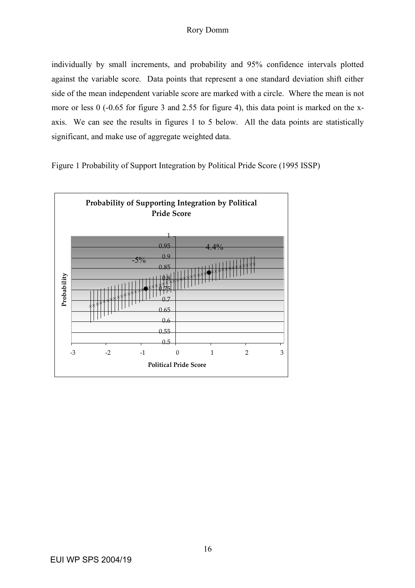individually by small increments, and probability and 95% confidence intervals plotted against the variable score. Data points that represent a one standard deviation shift either side of the mean independent variable score are marked with a circle. Where the mean is not more or less 0 (-0.65 for figure 3 and 2.55 for figure 4), this data point is marked on the xaxis. We can see the results in figures 1 to 5 below. All the data points are statistically significant, and make use of aggregate weighted data.



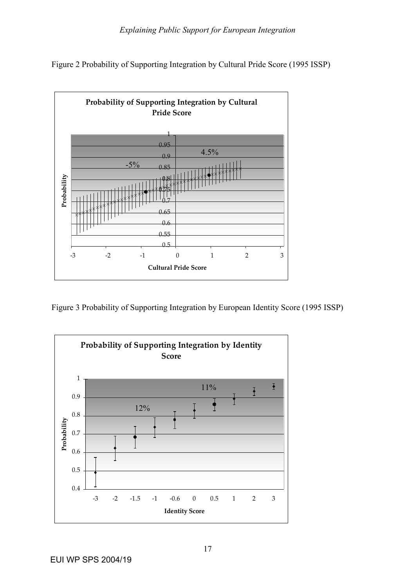



Figure 3 Probability of Supporting Integration by European Identity Score (1995 ISSP)

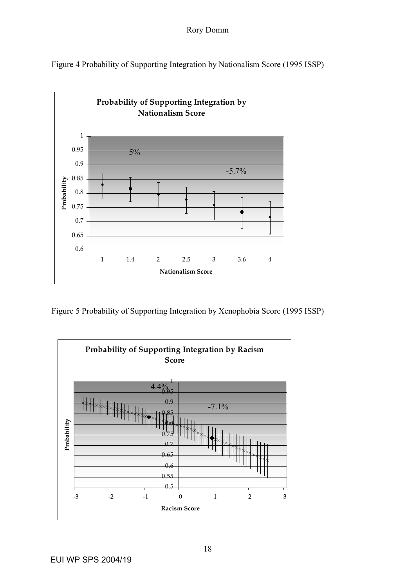Figure 4 Probability of Supporting Integration by Nationalism Score (1995 ISSP)



Figure 5 Probability of Supporting Integration by Xenophobia Score (1995 ISSP)

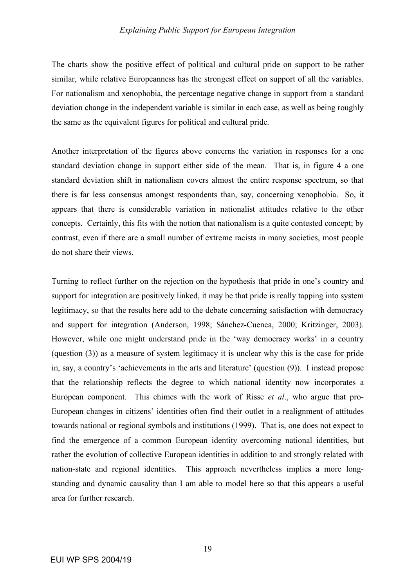The charts show the positive effect of political and cultural pride on support to be rather similar, while relative Europeanness has the strongest effect on support of all the variables. For nationalism and xenophobia, the percentage negative change in support from a standard deviation change in the independent variable is similar in each case, as well as being roughly the same as the equivalent figures for political and cultural pride.

Another interpretation of the figures above concerns the variation in responses for a one standard deviation change in support either side of the mean. That is, in figure 4 a one standard deviation shift in nationalism covers almost the entire response spectrum, so that there is far less consensus amongst respondents than, say, concerning xenophobia. So, it appears that there is considerable variation in nationalist attitudes relative to the other concepts. Certainly, this fits with the notion that nationalism is a quite contested concept; by contrast, even if there are a small number of extreme racists in many societies, most people do not share their views.

Turning to reflect further on the rejection on the hypothesis that pride in one's country and support for integration are positively linked, it may be that pride is really tapping into system legitimacy, so that the results here add to the debate concerning satisfaction with democracy and support for integration (Anderson, 1998; Sánchez-Cuenca, 2000; Kritzinger, 2003). However, while one might understand pride in the 'way democracy works' in a country (question (3)) as a measure of system legitimacy it is unclear why this is the case for pride in, say, a country's 'achievements in the arts and literature' (question (9)). I instead propose that the relationship reflects the degree to which national identity now incorporates a European component. This chimes with the work of Risse *et al*., who argue that pro-European changes in citizens' identities often find their outlet in a realignment of attitudes towards national or regional symbols and institutions (1999). That is, one does not expect to find the emergence of a common European identity overcoming national identities, but rather the evolution of collective European identities in addition to and strongly related with nation-state and regional identities. This approach nevertheless implies a more longstanding and dynamic causality than I am able to model here so that this appears a useful area for further research.

19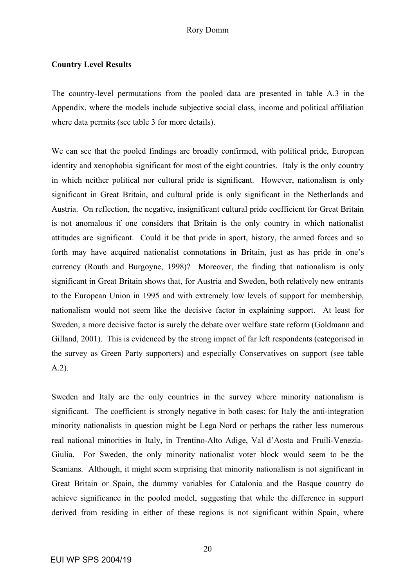### **Country Level Results**

The country-level permutations from the pooled data are presented in table A.3 in the Appendix, where the models include subjective social class, income and political affiliation where data permits (see table 3 for more details).

We can see that the pooled findings are broadly confirmed, with political pride, European identity and xenophobia significant for most of the eight countries. Italy is the only country in which neither political nor cultural pride is significant. However, nationalism is only significant in Great Britain, and cultural pride is only significant in the Netherlands and Austria. On reflection, the negative, insignificant cultural pride coefficient for Great Britain is not anomalous if one considers that Britain is the only country in which nationalist attitudes are significant. Could it be that pride in sport, history, the armed forces and so forth may have acquired nationalist connotations in Britain, just as has pride in one's currency (Routh and Burgoyne, 1998)? Moreover, the finding that nationalism is only significant in Great Britain shows that, for Austria and Sweden, both relatively new entrants to the European Union in 1995 and with extremely low levels of support for membership, nationalism would not seem like the decisive factor in explaining support. At least for Sweden, a more decisive factor is surely the debate over welfare state reform (Goldmann and Gilland, 2001). This is evidenced by the strong impact of far left respondents (categorised in the survey as Green Party supporters) and especially Conservatives on support (see table A.2).

Sweden and Italy are the only countries in the survey where minority nationalism is significant. The coefficient is strongly negative in both cases: for Italy the anti-integration minority nationalists in question might be Lega Nord or perhaps the rather less numerous real national minorities in Italy, in Trentino-Alto Adige, Val d'Aosta and Fruili-Venezia-Giulia. For Sweden, the only minority nationalist voter block would seem to be the Scanians. Although, it might seem surprising that minority nationalism is not significant in Great Britain or Spain, the dummy variables for Catalonia and the Basque country do achieve significance in the pooled model, suggesting that while the difference in support derived from residing in either of these regions is not significant within Spain, where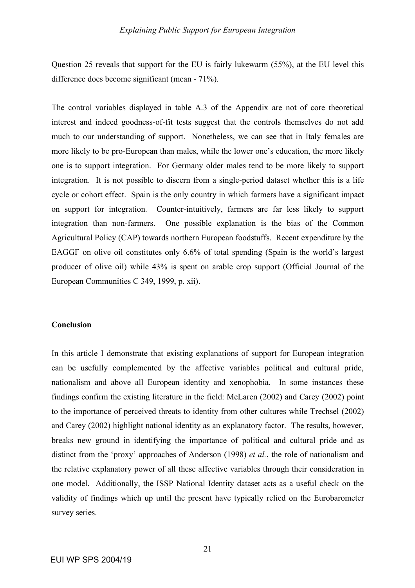Question 25 reveals that support for the EU is fairly lukewarm (55%), at the EU level this difference does become significant (mean - 71%).

The control variables displayed in table A.3 of the Appendix are not of core theoretical interest and indeed goodness-of-fit tests suggest that the controls themselves do not add much to our understanding of support. Nonetheless, we can see that in Italy females are more likely to be pro-European than males, while the lower one's education, the more likely one is to support integration. For Germany older males tend to be more likely to support integration. It is not possible to discern from a single-period dataset whether this is a life cycle or cohort effect. Spain is the only country in which farmers have a significant impact on support for integration. Counter-intuitively, farmers are far less likely to support integration than non-farmers. One possible explanation is the bias of the Common Agricultural Policy (CAP) towards northern European foodstuffs. Recent expenditure by the EAGGF on olive oil constitutes only 6.6% of total spending (Spain is the world's largest producer of olive oil) while 43% is spent on arable crop support (Official Journal of the European Communities C 349, 1999, p. xii).

## **Conclusion**

In this article I demonstrate that existing explanations of support for European integration can be usefully complemented by the affective variables political and cultural pride, nationalism and above all European identity and xenophobia. In some instances these findings confirm the existing literature in the field: McLaren (2002) and Carey (2002) point to the importance of perceived threats to identity from other cultures while Trechsel (2002) and Carey (2002) highlight national identity as an explanatory factor. The results, however, breaks new ground in identifying the importance of political and cultural pride and as distinct from the 'proxy' approaches of Anderson (1998) *et al.*, the role of nationalism and the relative explanatory power of all these affective variables through their consideration in one model. Additionally, the ISSP National Identity dataset acts as a useful check on the validity of findings which up until the present have typically relied on the Eurobarometer survey series.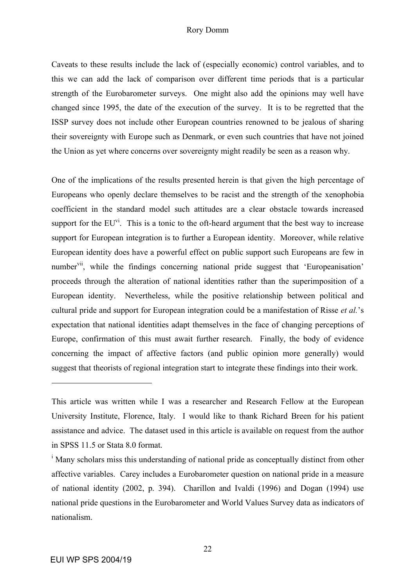#### Rory Domm

Caveats to these results include the lack of (especially economic) control variables, and to this we can add the lack of comparison over different time periods that is a particular strength of the Eurobarometer surveys. One might also add the opinions may well have changed since 1995, the date of the execution of the survey. It is to be regretted that the ISSP survey does not include other European countries renowned to be jealous of sharing their sovereignty with Europe such as Denmark, or even such countries that have not joined the Union as yet where concerns over sovereignty might readily be seen as a reason why.

One of the implications of the results presented herein is that given the high percentage of Europeans who openly declare themselves to be racist and the strength of the xenophobia coefficient in the standard model such attitudes are a clear obstacle towards increased support for the  $EU^{vi}$ . This is a tonic to the oft-heard argument that the best way to increase support for European integration is to further a European identity. Moreover, while relative European identity does have a powerful effect on public support such Europeans are few in number<sup>vii</sup>, while the findings concerning national pride suggest that 'Europeanisation' proceeds through the alteration of national identities rather than the superimposition of a European identity. Nevertheless, while the positive relationship between political and cultural pride and support for European integration could be a manifestation of Risse *et al.*'s expectation that national identities adapt themselves in the face of changing perceptions of Europe, confirmation of this must await further research. Finally, the body of evidence concerning the impact of affective factors (and public opinion more generally) would suggest that theorists of regional integration start to integrate these findings into their work.

 $\overline{a}$ 

This article was written while I was a researcher and Research Fellow at the European University Institute, Florence, Italy. I would like to thank Richard Breen for his patient assistance and advice. The dataset used in this article is available on request from the author in SPSS 11.5 or Stata 8.0 format.

<sup>&</sup>lt;sup>i</sup> Many scholars miss this understanding of national pride as conceptually distinct from other affective variables. Carey includes a Eurobarometer question on national pride in a measure of national identity (2002, p. 394). Charillon and Ivaldi (1996) and Dogan (1994) use national pride questions in the Eurobarometer and World Values Survey data as indicators of nationalism.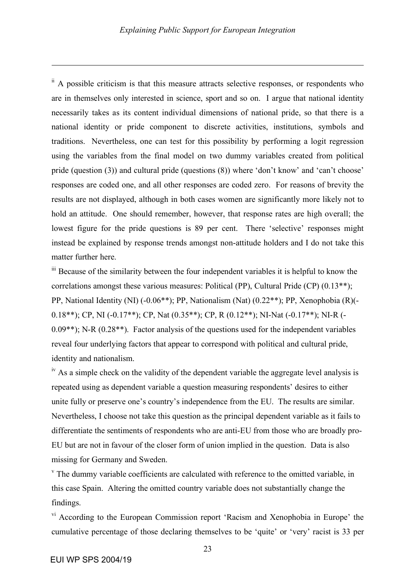$\mathbf{\dot{a}}$ . A possible criticism is that this measure attracts selective responses, or respondents who are in themselves only interested in science, sport and so on. I argue that national identity necessarily takes as its content individual dimensions of national pride, so that there is a national identity or pride component to discrete activities, institutions, symbols and traditions. Nevertheless, one can test for this possibility by performing a logit regression using the variables from the final model on two dummy variables created from political pride (question (3)) and cultural pride (questions (8)) where 'don't know' and 'can't choose' responses are coded one, and all other responses are coded zero. For reasons of brevity the results are not displayed, although in both cases women are significantly more likely not to hold an attitude. One should remember, however, that response rates are high overall; the lowest figure for the pride questions is 89 per cent. There 'selective' responses might instead be explained by response trends amongst non-attitude holders and I do not take this matter further here.

<sup>iii</sup> Because of the similarity between the four independent variables it is helpful to know the correlations amongst these various measures: Political (PP), Cultural Pride (CP) (0.13\*\*); PP, National Identity (NI) (-0.06\*\*); PP, Nationalism (Nat) (0.22\*\*); PP, Xenophobia (R)(- 0.18\*\*); CP, NI (-0.17\*\*); CP, Nat (0.35\*\*); CP, R (0.12\*\*); NI-Nat (-0.17\*\*); NI-R (- 0.09\*\*); N-R (0.28\*\*). Factor analysis of the questions used for the independent variables reveal four underlying factors that appear to correspond with political and cultural pride, identity and nationalism.

 $\mu$ <sup>iv</sup> As a simple check on the validity of the dependent variable the aggregate level analysis is repeated using as dependent variable a question measuring respondents' desires to either unite fully or preserve one's country's independence from the EU. The results are similar. Nevertheless, I choose not take this question as the principal dependent variable as it fails to differentiate the sentiments of respondents who are anti-EU from those who are broadly pro-EU but are not in favour of the closer form of union implied in the question. Data is also missing for Germany and Sweden.

 $\gamma$  The dummy variable coefficients are calculated with reference to the omitted variable, in this case Spain. Altering the omitted country variable does not substantially change the findings.

vi According to the European Commission report 'Racism and Xenophobia in Europe' the cumulative percentage of those declaring themselves to be 'quite' or 'very' racist is 33 per

1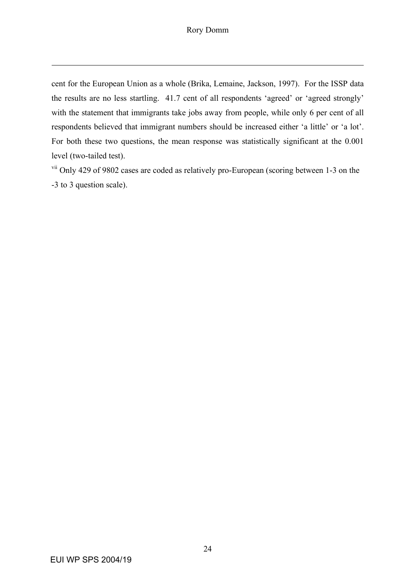cent for the European Union as a whole (Brika, Lemaine, Jackson, 1997). For the ISSP data the results are no less startling. 41.7 cent of all respondents 'agreed' or 'agreed strongly' with the statement that immigrants take jobs away from people, while only 6 per cent of all respondents believed that immigrant numbers should be increased either 'a little' or 'a lot'. For both these two questions, the mean response was statistically significant at the 0.001 level (two-tailed test).

<sup>vii</sup> Only 429 of 9802 cases are coded as relatively pro-European (scoring between 1-3 on the -3 to 3 question scale).

1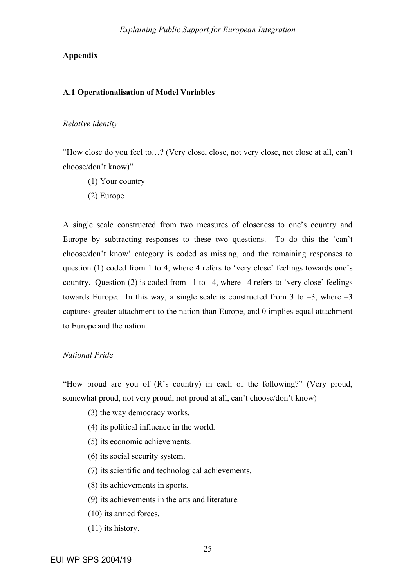## **Appendix**

#### **A.1 Operationalisation of Model Variables**

#### *Relative identity*

"How close do you feel to…? (Very close, close, not very close, not close at all, can't choose/don't know)"

- (1) Your country
- (2) Europe

A single scale constructed from two measures of closeness to one's country and Europe by subtracting responses to these two questions. To do this the 'can't choose/don't know' category is coded as missing, and the remaining responses to question (1) coded from 1 to 4, where 4 refers to 'very close' feelings towards one's country. Question (2) is coded from  $-1$  to  $-4$ , where  $-4$  refers to 'very close' feelings towards Europe. In this way, a single scale is constructed from 3 to  $-3$ , where  $-3$ captures greater attachment to the nation than Europe, and 0 implies equal attachment to Europe and the nation.

## *National Pride*

"How proud are you of (R's country) in each of the following?" (Very proud, somewhat proud, not very proud, not proud at all, can't choose/don't know)

- (3) the way democracy works.
- (4) its political influence in the world.
- (5) its economic achievements.
- (6) its social security system.
- (7) its scientific and technological achievements.
- (8) its achievements in sports.
- (9) its achievements in the arts and literature.
- (10) its armed forces.
- (11) its history.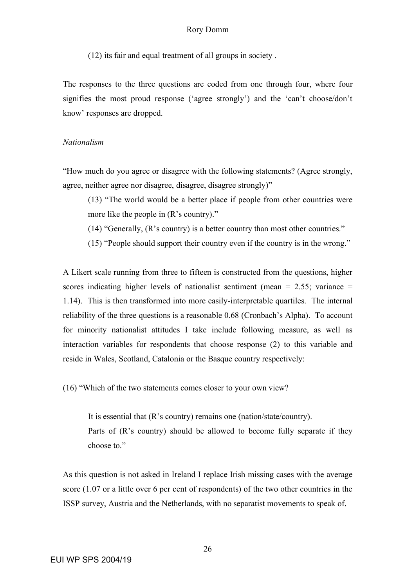(12) its fair and equal treatment of all groups in society .

The responses to the three questions are coded from one through four, where four signifies the most proud response ('agree strongly') and the 'can't choose/don't know' responses are dropped.

## *Nationalism*

"How much do you agree or disagree with the following statements? (Agree strongly, agree, neither agree nor disagree, disagree, disagree strongly)"

- (13) "The world would be a better place if people from other countries were more like the people in (R's country)."
- (14) "Generally, (R's country) is a better country than most other countries."
- (15) "People should support their country even if the country is in the wrong."

A Likert scale running from three to fifteen is constructed from the questions, higher scores indicating higher levels of nationalist sentiment (mean  $= 2.55$ ; variance  $=$ 1.14). This is then transformed into more easily-interpretable quartiles. The internal reliability of the three questions is a reasonable 0.68 (Cronbach's Alpha). To account for minority nationalist attitudes I take include following measure, as well as interaction variables for respondents that choose response (2) to this variable and reside in Wales, Scotland, Catalonia or the Basque country respectively:

(16) "Which of the two statements comes closer to your own view?

It is essential that (R's country) remains one (nation/state/country). Parts of (R's country) should be allowed to become fully separate if they choose to."

As this question is not asked in Ireland I replace Irish missing cases with the average score (1.07 or a little over 6 per cent of respondents) of the two other countries in the ISSP survey, Austria and the Netherlands, with no separatist movements to speak of.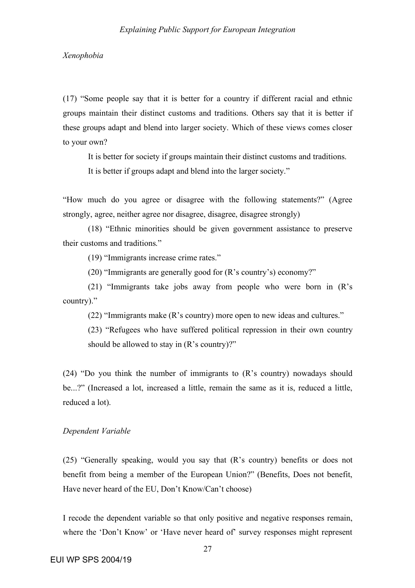*Xenophobia*

(17) "Some people say that it is better for a country if different racial and ethnic groups maintain their distinct customs and traditions. Others say that it is better if these groups adapt and blend into larger society. Which of these views comes closer to your own?

It is better for society if groups maintain their distinct customs and traditions. It is better if groups adapt and blend into the larger society."

"How much do you agree or disagree with the following statements?" (Agree strongly, agree, neither agree nor disagree, disagree, disagree strongly)

(18) "Ethnic minorities should be given government assistance to preserve their customs and traditions."

(19) "Immigrants increase crime rates."

(20) "Immigrants are generally good for (R's country's) economy?"

(21) "Immigrants take jobs away from people who were born in (R's country)."

(22) "Immigrants make (R's country) more open to new ideas and cultures."

(23) "Refugees who have suffered political repression in their own country should be allowed to stay in  $(R's country)$ ?"

(24) "Do you think the number of immigrants to (R's country) nowadays should be...?" (Increased a lot, increased a little, remain the same as it is, reduced a little, reduced a lot).

### *Dependent Variable*

(25) "Generally speaking, would you say that (R's country) benefits or does not benefit from being a member of the European Union?" (Benefits, Does not benefit, Have never heard of the EU, Don't Know/Can't choose)

I recode the dependent variable so that only positive and negative responses remain, where the 'Don't Know' or 'Have never heard of' survey responses might represent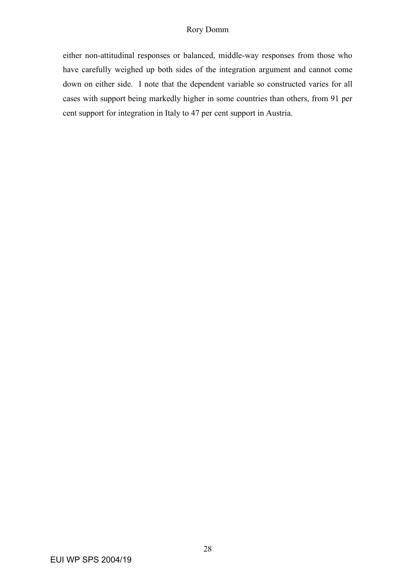either non-attitudinal responses or balanced, middle-way responses from those who have carefully weighed up both sides of the integration argument and cannot come down on either side. I note that the dependent variable so constructed varies for all cases with support being markedly higher in some countries than others, from 91 per cent support for integration in Italy to 47 per cent support in Austria.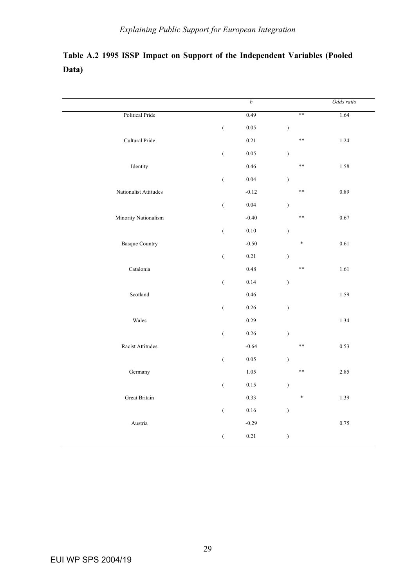# **Table A.2 1995 ISSP Impact on Support of the Independent Variables (Pooled Data)**

|                       |                  | $\boldsymbol{b}$ |               | Odds ratio |
|-----------------------|------------------|------------------|---------------|------------|
| Political Pride       |                  | 0.49             | $**$          | 1.64       |
|                       | $\big($          | 0.05             | $\mathcal{E}$ |            |
| Cultural Pride        |                  | 0.21             | $***$         | 1.24       |
|                       | $\overline{(\ }$ | 0.05             | $\mathcal{E}$ |            |
| Identity              |                  | 0.46             | $\ast\ast$    | 1.58       |
|                       | $\big($          | $0.04\,$         | $\big)$       |            |
| Nationalist Attitudes |                  | $-0.12$          | $***$         | 0.89       |
|                       | $\overline{(}$   | $0.04\,$         | $\mathcal{E}$ |            |
| Minority Nationalism  |                  | $-0.40$          | $***$         | $0.67\,$   |
|                       | $\overline{(}$   | $0.10\,$         | $\big)$       |            |
| <b>Basque Country</b> |                  | $-0.50$          | $\ast$        | 0.61       |
|                       | $\big($          | $0.21\,$         | $\mathcal{E}$ |            |
| Catalonia             |                  | 0.48             | $***$         | $1.61\,$   |
|                       | $\big($          | 0.14             | $\big)$       |            |
| Scotland              |                  | 0.46             |               | 1.59       |
|                       | $\big($          | 0.26             | $\mathcal{E}$ |            |
| Wales                 |                  | 0.29             |               | 1.34       |
|                       | $\big($          | $0.26\,$         | $\mathcal{E}$ |            |
| Racist Attitudes      |                  | $-0.64$          | $***$         | 0.53       |
|                       | $\big($          | $0.05\,$         | $\mathcal{E}$ |            |
| Germany               |                  | 1.05             | $\ast\ast$    | 2.85       |
|                       | $\overline{(}$   | $0.15\,$         | $\big)$       |            |
| Great Britain         |                  | 0.33             | $\ast$        | 1.39       |
|                       | $\big($          | $0.16\,$         | $\big)$       |            |
| Austria               |                  | $-0.29$          |               | $0.75\,$   |
|                       | €                | $0.21\,$         | $\big)$       |            |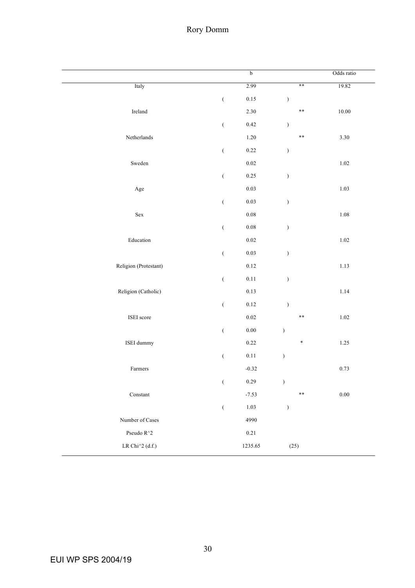# Rory Domm

|                            |                                                         | b        |               | Odds ratio |
|----------------------------|---------------------------------------------------------|----------|---------------|------------|
| Italy                      |                                                         | 2.99     | $**$          | 19.82      |
|                            | $\big($                                                 | $0.15\,$ | $\mathcal{E}$ |            |
| Ireland                    |                                                         | 2.30     | $\ast\ast$    | $10.00\,$  |
|                            | $\overline{(\ }$                                        | $0.42\,$ | $\mathcal{E}$ |            |
| Netherlands                |                                                         | $1.20\,$ | $\ast\ast$    | $3.30\,$   |
|                            | $\big($                                                 | $0.22\,$ | $\mathcal{E}$ |            |
| Sweden                     |                                                         | $0.02\,$ |               | $1.02\,$   |
|                            | $\big($                                                 | 0.25     | $\mathcal{E}$ |            |
| Age                        |                                                         | $0.03\,$ |               | $1.03\,$   |
|                            | $\big($                                                 | $0.03\,$ | )             |            |
| ${\rm Sex}$                |                                                         | $0.08\,$ |               | $1.08\,$   |
|                            | $\overline{(\ }$                                        | $0.08\,$ | $\mathcal{E}$ |            |
| $\operatorname{Education}$ |                                                         | $0.02\,$ |               | $1.02\,$   |
|                            | $\big($                                                 | $0.03\,$ | $\mathcal{E}$ |            |
| Religion (Protestant)      |                                                         | $0.12\,$ |               | $1.13\,$   |
|                            | $\big($                                                 | $0.11\,$ | $\mathcal{E}$ |            |
| Religion (Catholic)        |                                                         | $0.13\,$ |               | $1.14\,$   |
|                            | $\big($                                                 | $0.12\,$ | $\mathcal{E}$ |            |
| ISEI score                 |                                                         | $0.02\,$ | $\ast\ast$    | $1.02\,$   |
|                            | $\big($                                                 | $0.00\,$ | $\mathcal{E}$ |            |
| ISEI dummy                 |                                                         | $0.22\,$ | *             | $1.25\,$   |
|                            | $\big($                                                 | $0.11\,$ | $\mathcal{E}$ |            |
| Farmers                    |                                                         | $-0.32$  |               | 0.73       |
|                            | $\left(\begin{array}{c} 0 \\ 0 \\ 0 \end{array}\right)$ | 0.29     | $\lambda$     |            |
| Constant                   |                                                         | $-7.53$  | $\ast\ast$    | $0.00\,$   |
|                            | $\big($                                                 | $1.03\,$ | $\mathcal{E}$ |            |
| Number of Cases            |                                                         | 4990     |               |            |
| Pseudo $\rm R^{\wedge}2$   |                                                         | $0.21\,$ |               |            |
| LR Chi^2 (d.f.)            |                                                         | 1235.65  | (25)          |            |
|                            |                                                         |          |               |            |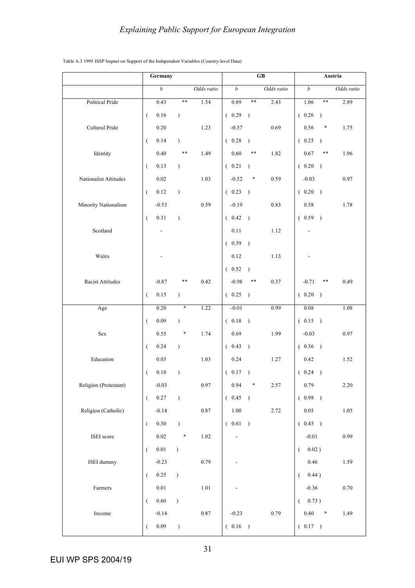|                       | Germany              |                  |               |            | GB     |                  |               |            | Austria  |                  |               |            |
|-----------------------|----------------------|------------------|---------------|------------|--------|------------------|---------------|------------|----------|------------------|---------------|------------|
|                       |                      | $\boldsymbol{b}$ |               | Odds ratio |        | $\boldsymbol{b}$ |               | Odds ratio |          | $\boldsymbol{b}$ |               | Odds ratio |
| Political Pride       |                      | 0.43             | $**$          | 1.54       |        | 0.89             | $**$          | 2.43       |          | 1.06             | $***$         | 2.89       |
|                       | $\overline{(\cdot)}$ | 0.16             | $\lambda$     |            | (0.29) |                  | $\rightarrow$ |            |          | (0.26)           | $\lambda$     |            |
| Cultural Pride        |                      | 0.20             |               | 1.23       |        | $-0.37$          |               | 0.69       |          | 0.56             | $\ast$        | 1.75       |
|                       | $\left($             | 0.14             | $\lambda$     |            | (0.28) |                  | $\rightarrow$ |            |          | (0.25)           | $\rightarrow$ |            |
| Identity              |                      | 0.40             | $***$         | 1.49       |        | 0.60             | $***$         | 1.82       |          | 0.67             | $***$         | 1.96       |
|                       | $\overline{(\ }$     | 0.13             | $\lambda$     |            | (0.21) |                  | $\rightarrow$ |            |          | (0.20)           |               |            |
| Nationalist Attitudes |                      | 0.02             |               | 1.03       |        | $-0.52$          | *             | 0.59       |          | $-0.03$          |               | 0.97       |
|                       | $\overline{(}$       | 0.12             | $\lambda$     |            | (0.23) |                  |               |            |          | (0.20)           |               |            |
| Minority Nationalism  |                      | $-0.53$          |               | 0.59       |        | $-0.19$          |               | 0.83       |          | 0.58             |               | 1.78       |
|                       | €                    | $0.31\,$         | $\lambda$     |            | (0.42) |                  |               |            |          | (0.59)           |               |            |
| Scotland              |                      | $\blacksquare$   |               |            |        | 0.11             |               | 1.12       |          |                  |               |            |
|                       |                      |                  |               |            | (0.59) |                  |               |            |          |                  |               |            |
| Wales                 |                      |                  |               |            |        | 0.12             |               | 1.13       |          |                  |               |            |
|                       |                      |                  |               |            | (0.52) |                  | $\rightarrow$ |            |          |                  |               |            |
| Racist Attitudes      |                      | $-0.87$          | **            | 0.42       |        | $-0.98$          | **            | 0.37       |          | $-0.71$          | **            | 0.49       |
|                       | $\left($             | $0.15\,$         | $\mathcal{L}$ |            | (0.25) |                  |               |            |          | (0.20)           | $\rightarrow$ |            |
| Age                   |                      | 0.20             | $\ast$        | 1.22       |        | $-0.01$          |               | 0.99       |          | 0.08             |               | 1.08       |
|                       | $\overline{(\cdot)}$ | 0.09             | $\mathcal{L}$ |            | (0.18) |                  | $\big)$       |            |          | (0.15)           |               |            |
| Sex                   |                      | 0.55             | $\ast$        | 1.74       |        | 0.69             |               | 1.99       |          | $-0.03$          |               | 0.97       |
|                       | €                    | 0.24             | $\lambda$     |            | (0.43) |                  | $\rightarrow$ |            |          | (0.36)           |               |            |
| Education             |                      | 0.03             |               | 1.03       |        | 0.24             |               | 1.27       |          | 0.42             |               | 1.52       |
|                       | (                    | 0.10             | $\lambda$     |            | (0.17) |                  | $\rightarrow$ |            |          | (0.24)           | $\rightarrow$ |            |
| Religion (Protestant) |                      | $-0.03$          |               | 0.97       |        | 0.94             | ł             | 2.57       |          | 0.79             |               | $2.20\,$   |
|                       | $\left($             | $0.27\,$         | $\lambda$     |            | (0.45) |                  |               |            |          | (0.98)           |               |            |
| Religion (Catholic)   |                      | $-0.14$          |               | 0.87       |        | $1.00\,$         |               | 2.72       |          | $0.05\,$         |               | 1.05       |
|                       | $\left($             | $0.30\,$         | $\mathcal{L}$ |            | (0.61) |                  |               |            |          | (0.45)           |               |            |
| ISEI score            |                      | $0.02\,$         | $\ast$        | 1.02       |        |                  |               |            |          | $-0.01$          |               | 0.99       |
|                       | $\overline{(\cdot)}$ | $0.01\,$         | $\lambda$     |            |        |                  |               |            | $\left($ | $0.02$ )         |               |            |
| ISEI dummy            |                      | $-0.23$          |               | 0.79       |        |                  |               |            |          | 0.46             |               | 1.59       |
|                       | $\left($             | 0.25             | $\mathcal{E}$ |            |        |                  |               |            | €        | 0.44)            |               |            |
| Farmers               |                      | $0.01\,$         |               | 1.01       |        |                  |               |            |          | $-0.36$          |               | $0.70\,$   |
|                       | $\left($             | $0.60\,$         | $\lambda$     |            |        |                  |               |            |          | (0.73)           |               |            |
| Income                |                      | $-0.14$          |               | 0.87       |        | $-0.23$          |               | 0.79       |          | 0.40             | $\ast$        | 1.49       |
|                       | (                    | $0.09\,$         | $\mathcal{L}$ |            | (0.16) |                  |               |            |          | (0.17)           |               |            |

#### Table A.3 1995 ISSP Impact on Support of the Independent Variables (Country-level Data)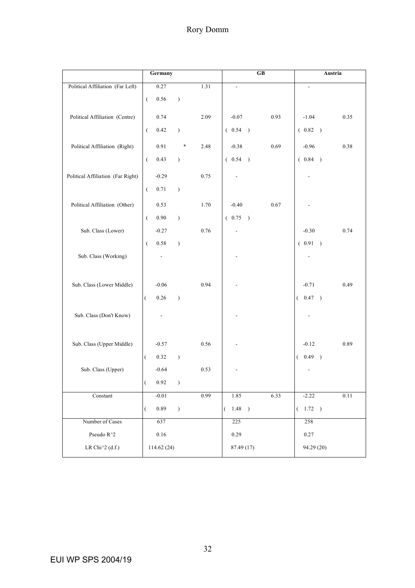|                                   | Germany<br>${\bf G}{\bf B}$                                          | Austria                    |
|-----------------------------------|----------------------------------------------------------------------|----------------------------|
| Political Affiliation (Far Left)  | 0.27<br>1.31<br>$\frac{1}{2}$                                        |                            |
|                                   | 0.56<br>$\overline{(\cdot)}$<br>$\mathcal{E}$                        |                            |
|                                   |                                                                      |                            |
| Political Affiliation (Centre)    | 0.74<br>2.09<br>$-0.07$<br>0.93                                      | $-1.04$<br>0.35            |
|                                   | $\overline{(\ }$<br>0.42<br>(0.54)<br>$\mathcal{E}$<br>$\rightarrow$ | (0.82)                     |
| Political Affiliation (Right)     | 0.91<br>$\ast$<br>2.48<br>$-0.38$<br>0.69                            | $-0.96$<br>$0.38\,$        |
|                                   | $\overline{(}$<br>0.43<br>(0.54)<br>$\mathcal{E}$                    | (0.84)                     |
|                                   |                                                                      |                            |
| Political Affiliation (Far Right) | $-0.29$<br>0.75                                                      |                            |
|                                   | $\overline{(}$<br>0.71<br>$\mathcal{E}$                              |                            |
| Political Affiliation (Other)     | 0.53<br>$-0.40$<br>0.67<br>1.70                                      |                            |
|                                   | $0.90\,$<br>$\overline{(\ }$<br>$\mathcal{E}$<br>(0.75)              |                            |
| Sub. Class (Lower)                | $-0.27$<br>0.76                                                      | $-0.30$<br>0.74            |
|                                   | 0.58<br>$\overline{(\cdot)}$<br>$\mathcal{E}$                        | (0.91)                     |
| Sub. Class (Working)              |                                                                      |                            |
|                                   |                                                                      |                            |
|                                   |                                                                      |                            |
| Sub. Class (Lower Middle)         | $-0.06$<br>0.94                                                      | $-0.71$<br>0.49            |
|                                   | $\overline{(}$<br>0.26<br>$\lambda$                                  | (0.47)                     |
| Sub. Class (Don't Know)           |                                                                      |                            |
|                                   |                                                                      |                            |
|                                   |                                                                      |                            |
| Sub. Class (Upper Middle)         | 0.56<br>$-0.57$                                                      | $-0.12$<br>0.89            |
|                                   | 0.32<br>$\overline{(\ }$<br>$\mathcal{E}$                            | 0.49<br>$\rightarrow$<br>€ |
| Sub. Class (Upper)                | $-0.64$<br>0.53                                                      |                            |
|                                   | 0.92<br>$\overline{\mathcal{L}}$<br>$\left( \right)$                 |                            |
| Constant                          | 0.99<br>$-0.01$<br>1.85<br>6.33                                      | $-2.22$<br>$0.11\,$        |
|                                   | 0.89<br>1.48<br>$\mathcal{E}$<br>$\rightarrow$<br>€<br>(             | (1.72)                     |
| Number of Cases                   | 637<br>225                                                           | 258                        |
| Pseudo $\rm R^{\wedge}2$          | $0.16\,$<br>0.29                                                     | 0.27                       |
| LR Chi $^{\wedge}2$ (d.f.)        | 87.49 (17)<br>114.62 (24)                                            | 94.29 (20)                 |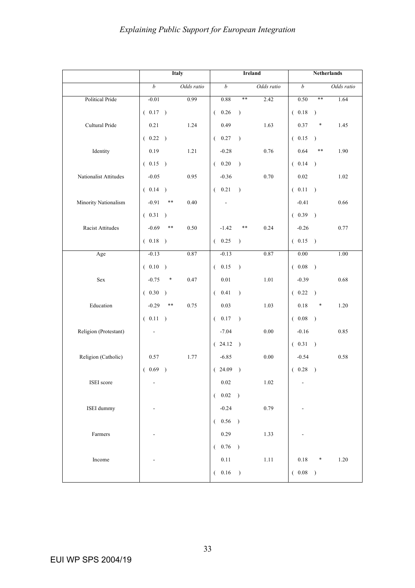|                       | Italy                   |            |                  | <b>Ireland</b> | <b>Netherlands</b> |                  |               |            |
|-----------------------|-------------------------|------------|------------------|----------------|--------------------|------------------|---------------|------------|
|                       | $\boldsymbol{b}$        | Odds ratio | b                |                | Odds ratio         | $\boldsymbol{b}$ |               | Odds ratio |
| Political Pride       | $-0.01$                 | 0.99       | 0.88             | $**$           | 2.42               | 0.50             | $**$          | 1.64       |
|                       | (0.17)                  |            | (0.26)           | $\lambda$      |                    | (0.18)           | $\rightarrow$ |            |
| Cultural Pride        | 0.21                    | 1.24       | 0.49             |                | 1.63               | 0.37             | $\ast$        | 1.45       |
|                       | (0.22)                  |            | (0.27)           | $\lambda$      |                    | (0.15)           | $\rightarrow$ |            |
| Identity              | 0.19                    | 1.21       | $-0.28$          |                | 0.76               | 0.64             | $***$         | 1.90       |
|                       | (0.15)                  |            | (0.20)           | $\rightarrow$  |                    | (0.14)           |               |            |
| Nationalist Attitudes | $-0.05$                 | 0.95       | $-0.36$          |                | 0.70               | $0.02\,$         |               | 1.02       |
|                       | (0.14)                  |            | (0.21)           | $\rightarrow$  |                    | (0.11)           | $\rightarrow$ |            |
| Minority Nationalism  | $-0.91$<br>**           | 0.40       |                  |                |                    | $-0.41$          |               | 0.66       |
|                       | (0.31)                  |            |                  |                |                    | (0.39)           |               |            |
| Racist Attitudes      | $-0.69$<br>**           | 0.50       | $-1.42$          | **             | 0.24               | $-0.26$          |               | 0.77       |
|                       | (0.18)                  |            | (0.25)           | $\lambda$      |                    | (0.15)           |               |            |
| Age                   | $-0.13$                 | 0.87       | $-0.13$          |                | 0.87               | $0.00\,$         |               | 1.00       |
|                       | (0.10)                  |            | (0.15)           | $\lambda$      |                    | (0.08)           | $\rightarrow$ |            |
| Sex                   | $-0.75$<br>*            | 0.47       | $0.01\,$         |                | 1.01               | $-0.39$          |               | 0.68       |
|                       | (0.30)                  |            | 0.41<br>$\left($ | $\lambda$      |                    | (0.22)           | $\rightarrow$ |            |
| Education             | $-0.29$<br>**           | 0.75       | 0.03             |                | 1.03               | 0.18             | *             | 1.20       |
|                       | (0.11)                  |            | (0.17)           | $\lambda$      |                    | (0.08)           | $\big)$       |            |
| Religion (Protestant) | $\overline{a}$          |            | $-7.04$          |                | 0.00               | $-0.16$          |               | 0.85       |
|                       |                         |            | (24.12)          |                |                    | (0.31)           | $\rightarrow$ |            |
| Religion (Catholic)   | 0.57                    | 1.77       | $-6.85$          |                | 0.00               | $-0.54$          |               | 0.58       |
|                       | (0.69)<br>$\rightarrow$ |            | (24.09)          | $\lambda$      |                    | (0.28)           | $\rightarrow$ |            |
| ISEI score            |                         |            | 0.02             |                | 1.02               |                  |               |            |
|                       |                         |            | $(-0.02)$        |                |                    |                  |               |            |
| ISEI dummy            |                         |            | $-0.24$          |                | 0.79               |                  |               |            |
|                       |                         |            | (0.56)           |                |                    |                  |               |            |
| Farmers               |                         |            | 0.29             |                | 1.33               |                  |               |            |
|                       |                         |            | (0.76)           |                |                    |                  |               |            |
| Income                |                         |            | $0.11\,$         |                | $1.11\,$           | $0.18\,$         | *             | 1.20       |
|                       |                         |            | (0.16)           |                |                    | (0.08)           | $\rightarrow$ |            |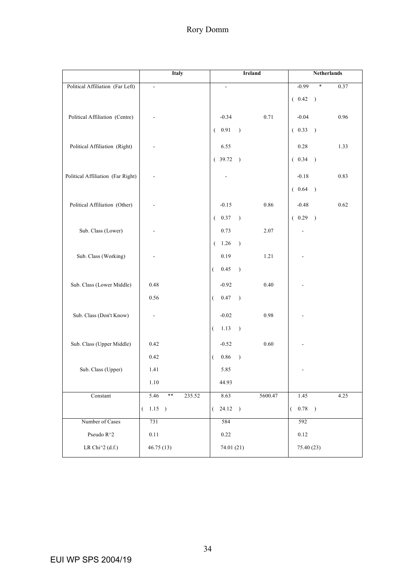|                                   | Italy                   | Ireland                                       | Netherlands             |
|-----------------------------------|-------------------------|-----------------------------------------------|-------------------------|
| Political Affiliation (Far Left)  | ÷,                      | $\overline{\phantom{a}}$                      | $-0.99$<br>*<br>0.37    |
|                                   |                         |                                               | (0.42)                  |
|                                   |                         |                                               |                         |
| Political Affiliation (Centre)    |                         | $-0.34$<br>0.71                               | $-0.04$<br>0.96         |
|                                   |                         | (0.91)<br>$\rightarrow$                       | (0.33)<br>$\rightarrow$ |
| Political Affiliation (Right)     |                         | 6.55                                          | $0.28\,$<br>1.33        |
|                                   |                         | (39.72)                                       | (0.34)                  |
|                                   |                         |                                               |                         |
| Political Affiliation (Far Right) |                         |                                               | $-0.18$<br>0.83         |
|                                   |                         |                                               | (0.64)                  |
| Political Affiliation (Other)     |                         | $-0.15$<br>0.86                               | 0.62<br>$-0.48$         |
|                                   |                         | (0.37)<br>$\rightarrow$                       | (0.29)                  |
| Sub. Class (Lower)                |                         | 2.07<br>0.73                                  |                         |
|                                   |                         | (1.26)<br>$\rightarrow$                       |                         |
| Sub. Class (Working)              |                         | 1.21<br>0.19                                  |                         |
|                                   |                         | 0.45<br>$\overline{(\cdot)}$<br>$\rightarrow$ |                         |
|                                   |                         |                                               |                         |
| Sub. Class (Lower Middle)         | 0.48                    | $-0.92$<br>0.40                               |                         |
|                                   | 0.56                    | 0.47<br>$\rightarrow$<br>$\left($             |                         |
| Sub. Class (Don't Know)           |                         | $-0.02$<br>0.98                               |                         |
|                                   |                         | 1.13<br>$\overline{(\ }$<br>$\rightarrow$     |                         |
|                                   |                         |                                               |                         |
| Sub. Class (Upper Middle)         | 0.42                    | 0.60<br>$-0.52$                               |                         |
|                                   | 0.42                    | 0.86<br>$\left($<br>$\rightarrow$             |                         |
| Sub. Class (Upper)                | 1.41                    | 5.85                                          |                         |
|                                   | $1.10\,$                | 44.93                                         |                         |
| $\mbox{Constant}$                 | 5.46<br>$***$<br>235.52 | 8.63<br>5600.47                               | 1.45<br>4.25            |
|                                   | $(-1.15)$               | $24.12$ )<br>€                                | (0.78)<br>$\big)$       |
| Number of Cases                   | 731                     | 584                                           | 592                     |
| Pseudo $\rm R^{\wedge}2$          | $0.11\,$                | 0.22                                          | 0.12                    |
| LR Chi $^{\wedge}2$ (d.f.)        | 46.75(13)               | 74.01 (21)                                    | 75.40 (23)              |
|                                   |                         |                                               |                         |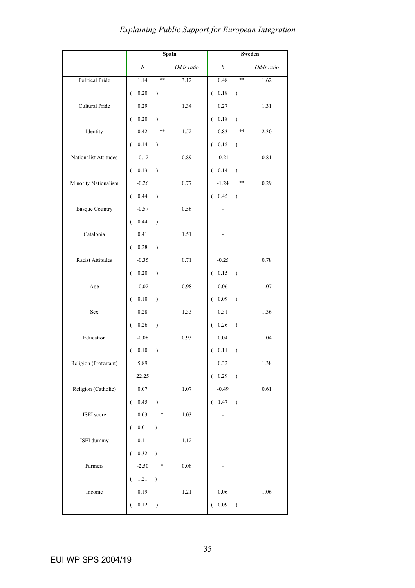|                       |                              | Spain         |            |                  |               | Sweden     |
|-----------------------|------------------------------|---------------|------------|------------------|---------------|------------|
|                       | $\boldsymbol{b}$             |               | Odds ratio | $\boldsymbol{b}$ |               | Odds ratio |
| Political Pride       | 1.14                         | **            | 3.12       | 0.48             | $***$         | 1.62       |
|                       | 0.20<br>$\left($             | $\mathcal{E}$ |            | 0.18<br>$\left($ | $\mathcal{E}$ |            |
| Cultural Pride        | 0.29                         |               | 1.34       | 0.27             |               | 1.31       |
|                       | $0.20\,$<br>€.               | $\mathcal{E}$ |            | 0.18<br>€        | $\mathcal{E}$ |            |
| Identity              | 0.42                         | **            | 1.52       | 0.83             | **            | 2.30       |
|                       | 0.14<br>€                    | $\mathcal{E}$ |            | 0.15<br>$\left($ | $\mathcal{E}$ |            |
| Nationalist Attitudes | $-0.12$                      |               | 0.89       | $-0.21$          |               | 0.81       |
|                       | 0.13<br>€                    | $\mathcal{E}$ |            | 0.14<br>←        | $\lambda$     |            |
| Minority Nationalism  | $-0.26$                      |               | 0.77       | $-1.24$          | **            | 0.29       |
|                       | 0.44<br>€                    | $\mathcal{E}$ |            | 0.45<br>€        | $\mathcal{E}$ |            |
| <b>Basque Country</b> | $-0.57$                      |               | 0.56       |                  |               |            |
|                       | 0.44<br>€                    | $\mathcal{E}$ |            |                  |               |            |
| Catalonia             | 0.41                         |               | 1.51       |                  |               |            |
|                       | 0.28<br>€.                   | $\mathcal{E}$ |            |                  |               |            |
| Racist Attitudes      | $-0.35$                      |               | 0.71       | $-0.25$          |               | 0.78       |
|                       | 0.20<br>€                    | $\mathcal{E}$ |            | $0.15\,$<br>€    | $\mathcal{E}$ |            |
| Age                   | $-0.02$                      |               | 0.98       | 0.06             |               | 1.07       |
|                       | $0.10\,$<br>€.               | $\mathcal{E}$ |            | 0.09<br>$\left($ | $\mathcal{E}$ |            |
| Sex                   | 0.28                         |               | 1.33       | 0.31             |               | 1.36       |
|                       | $0.26\,$<br>€.               | $\mathcal{E}$ |            | 0.26<br>$\left($ | $\mathcal{E}$ |            |
| Education             | $-0.08$                      |               | 0.93       | 0.04             |               | 1.04       |
|                       | 0.10<br>€                    | $\mathcal{E}$ |            | 0.11<br>€        | $\mathcal{E}$ |            |
| Religion (Protestant) | 5.89                         |               |            | 0.32             |               | 1.38       |
|                       | 22.25                        |               |            | 0.29<br>€        | $\lambda$     |            |
| Religion (Catholic)   | $0.07\,$                     |               | 1.07       | $-0.49$          |               | 0.61       |
|                       | $0.45\,$<br>€                | $\mathcal{E}$ |            | 1.47<br>€        | $\mathcal{E}$ |            |
| ISEI score            | 0.03                         | *             | 1.03       |                  |               |            |
|                       | $0.01\,$<br>€                | $\mathcal{E}$ |            |                  |               |            |
| ISEI dummy            | $0.11\,$                     |               | 1.12       |                  |               |            |
|                       | $0.32\,$<br>$\overline{(\ }$ | $\mathcal{E}$ |            |                  |               |            |
| Farmers               | $-2.50$                      | *             | $0.08\,$   |                  |               |            |
|                       | 1.21<br>€                    | $\lambda$     |            |                  |               |            |
| Income                | 0.19                         |               | $1.21\,$   | $0.06\,$         |               | $1.06\,$   |
|                       | $0.12\,$<br>€                | $\mathcal{E}$ |            | 0.09<br>€        | $\mathcal{L}$ |            |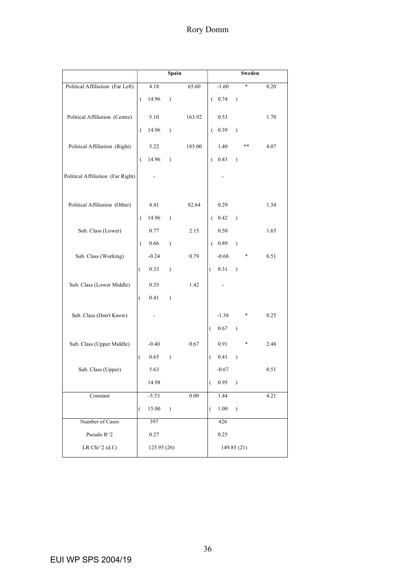|                                   |                      | Spain            |               |          | Sweden           |              |               |        |      |
|-----------------------------------|----------------------|------------------|---------------|----------|------------------|--------------|---------------|--------|------|
| Political Affiliation (Far Left)  |                      | 4.18             |               | 65.60    |                  | $-1.60$      |               | $\ast$ | 0.20 |
|                                   | $\overline{(\ }$     | 14.96            | $\mathcal{E}$ |          | ←                | 0.74         | $\mathcal{E}$ |        |      |
| Political Affiliation (Centre)    |                      | 5.10             |               | 163.92   |                  | 0.53         |               |        | 1.70 |
|                                   | $\overline{(\ }$     | 14.96            | $\lambda$     |          | €                | 0.39         | $\lambda$     |        |      |
| Political Affiliation (Right)     |                      | 5.22             |               | 185.00   |                  | 1.40         |               | **     | 4.07 |
|                                   | $\overline{(\ }$     | 14.96            | $\mathcal{E}$ |          | €                | 0.43         | $\lambda$     |        |      |
| Political Affiliation (Far Right) |                      |                  |               |          |                  |              |               |        |      |
| Political Affiliation (Other)     |                      | 4.41             |               | 82.64    |                  | 0.29         |               |        | 1.34 |
|                                   | $\overline{(\cdot)}$ | 14.96            | $\mathcal{E}$ |          | €.               | 0.42         | $\lambda$     |        |      |
| Sub. Class (Lower)                |                      | 0.77             |               | 2.15     |                  | 0.50         |               |        | 1.65 |
|                                   | $\overline{(\ }$     | 0.66             | $\mathcal{E}$ |          | $\left($         | 0.89         | $\lambda$     |        |      |
| Sub. Class (Working)              |                      | $-0.24$          |               | 0.79     |                  | $-0.68$      |               | *      | 0.51 |
|                                   | $\overline{(\ }$     | 0.33             | $\mathcal{E}$ |          | €                | 0.31         | $\lambda$     |        |      |
| Sub. Class (Lower Middle)         |                      | 0.35             |               | 1.42     |                  |              |               |        |      |
|                                   | $\overline{(}$       | 0.41             | $\mathcal{E}$ |          |                  |              |               |        |      |
| Sub. Class (Don't Know)           |                      |                  |               |          |                  | $-1.38$      |               | *      | 0.25 |
|                                   |                      |                  |               |          | $\overline{(\ }$ | 0.67         | $\mathcal{E}$ |        |      |
| Sub. Class (Upper Middle)         |                      | $-0.40$          |               | 0.67     |                  | 0.91         |               | $\ast$ | 2.48 |
|                                   | $\overline{(\ }$     | 0.65             | $\mathcal{E}$ |          | €                | 0.41         | $\lambda$     |        |      |
| Sub. Class (Upper)                |                      | 5.63             |               |          |                  | $-0.67$      |               |        | 0.51 |
|                                   |                      | 14.98            |               |          |                  | 0.95         | $\mathcal{E}$ |        |      |
| Constant                          | $\overline{(\ }$     | $-5.53$<br>15.00 | $\mathcal{E}$ | $0.00\,$ | €                | 1.44<br>1.00 | $\lambda$     |        | 4.21 |
| Number of Cases                   |                      | 397              |               |          |                  | 426          |               |        |      |
| Pseudo $\rm R^{\wedge}2$          |                      |                  |               |          |                  |              |               |        |      |
|                                   |                      | 0.27             |               |          |                  | 0.25         |               |        |      |
| LR Chi $^{\wedge}2$ (d.f.)        |                      | 125.95(26)       |               |          |                  | 149.85 (21)  |               |        |      |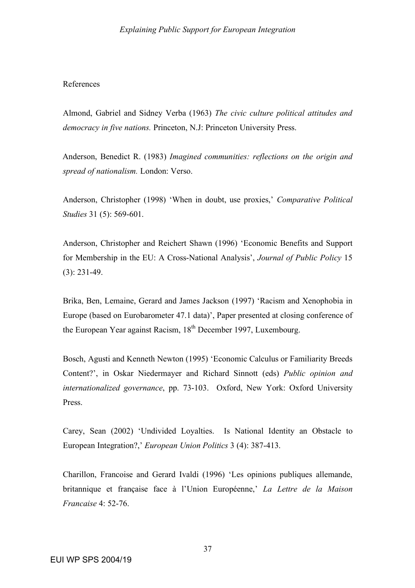## References

Almond, Gabriel and Sidney Verba (1963) *The civic culture political attitudes and democracy in five nations.* Princeton, N.J: Princeton University Press.

Anderson, Benedict R. (1983) *Imagined communities: reflections on the origin and spread of nationalism.* London: Verso.

Anderson, Christopher (1998) 'When in doubt, use proxies,' *Comparative Political Studies* 31 (5): 569-601.

Anderson, Christopher and Reichert Shawn (1996) 'Economic Benefits and Support for Membership in the EU: A Cross-National Analysis', *Journal of Public Policy* 15 (3): 231-49.

Brika, Ben, Lemaine, Gerard and James Jackson (1997) 'Racism and Xenophobia in Europe (based on Eurobarometer 47.1 data)', Paper presented at closing conference of the European Year against Racism, 18<sup>th</sup> December 1997, Luxembourg.

Bosch, Agusti and Kenneth Newton (1995) 'Economic Calculus or Familiarity Breeds Content?', in Oskar Niedermayer and Richard Sinnott (eds) *Public opinion and internationalized governance*, pp. 73-103. Oxford, New York: Oxford University Press.

Carey, Sean (2002) 'Undivided Loyalties. Is National Identity an Obstacle to European Integration?,' *European Union Politics* 3 (4): 387-413.

Charillon, Francoise and Gerard Ivaldi (1996) 'Les opinions publiques allemande, britannique et française face à l'Union Européenne,' *La Lettre de la Maison Francaise* 4: 52-76.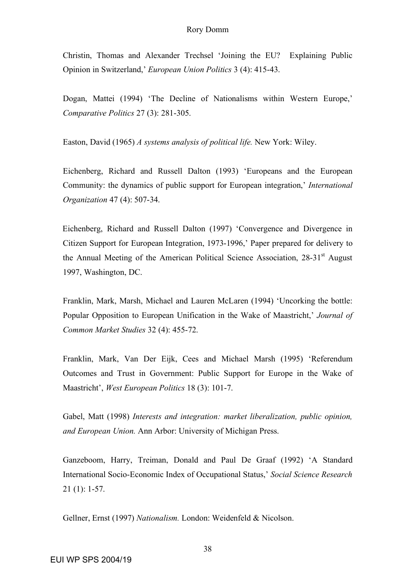### Rory Domm

Christin, Thomas and Alexander Trechsel 'Joining the EU? Explaining Public Opinion in Switzerland,' *European Union Politics* 3 (4): 415-43.

Dogan, Mattei (1994) 'The Decline of Nationalisms within Western Europe,' *Comparative Politics* 27 (3): 281-305.

Easton, David (1965) *A systems analysis of political life.* New York: Wiley.

Eichenberg, Richard and Russell Dalton (1993) 'Europeans and the European Community: the dynamics of public support for European integration,' *International Organization* 47 (4): 507-34.

Eichenberg, Richard and Russell Dalton (1997) 'Convergence and Divergence in Citizen Support for European Integration, 1973-1996,' Paper prepared for delivery to the Annual Meeting of the American Political Science Association, 28-31<sup>st</sup> August 1997, Washington, DC.

Franklin, Mark, Marsh, Michael and Lauren McLaren (1994) 'Uncorking the bottle: Popular Opposition to European Unification in the Wake of Maastricht,' *Journal of Common Market Studies* 32 (4): 455-72.

Franklin, Mark, Van Der Eijk, Cees and Michael Marsh (1995) 'Referendum Outcomes and Trust in Government: Public Support for Europe in the Wake of Maastricht', *West European Politics* 18 (3): 101-7.

Gabel, Matt (1998) *Interests and integration: market liberalization, public opinion, and European Union.* Ann Arbor: University of Michigan Press.

Ganzeboom, Harry, Treiman, Donald and Paul De Graaf (1992) 'A Standard International Socio-Economic Index of Occupational Status,' *Social Science Research* 21 (1): 1-57.

Gellner, Ernst (1997) *Nationalism.* London: Weidenfeld & Nicolson.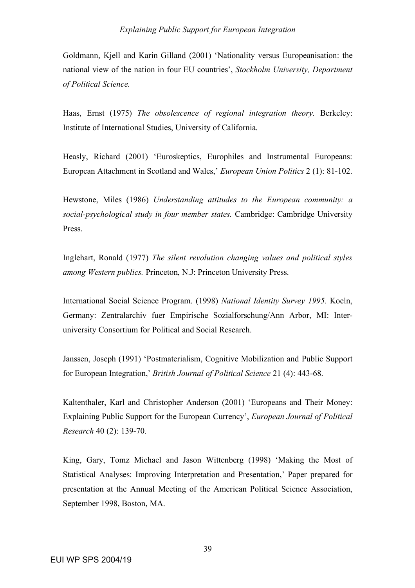Goldmann, Kjell and Karin Gilland (2001) 'Nationality versus Europeanisation: the national view of the nation in four EU countries', *Stockholm University, Department of Political Science.*

Haas, Ernst (1975) *The obsolescence of regional integration theory.* Berkeley: Institute of International Studies, University of California.

Heasly, Richard (2001) 'Euroskeptics, Europhiles and Instrumental Europeans: European Attachment in Scotland and Wales,' *European Union Politics* 2 (1): 81-102.

Hewstone, Miles (1986) *Understanding attitudes to the European community: a social-psychological study in four member states.* Cambridge: Cambridge University Press.

Inglehart, Ronald (1977) *The silent revolution changing values and political styles among Western publics.* Princeton, N.J: Princeton University Press.

International Social Science Program. (1998) *National Identity Survey 1995.* Koeln, Germany: Zentralarchiv fuer Empirische Sozialforschung/Ann Arbor, MI: Interuniversity Consortium for Political and Social Research.

Janssen, Joseph (1991) 'Postmaterialism, Cognitive Mobilization and Public Support for European Integration,' *British Journal of Political Science* 21 (4): 443-68.

Kaltenthaler, Karl and Christopher Anderson (2001) 'Europeans and Their Money: Explaining Public Support for the European Currency', *European Journal of Political Research* 40 (2): 139-70.

King, Gary, Tomz Michael and Jason Wittenberg (1998) 'Making the Most of Statistical Analyses: Improving Interpretation and Presentation,' Paper prepared for presentation at the Annual Meeting of the American Political Science Association, September 1998, Boston, MA.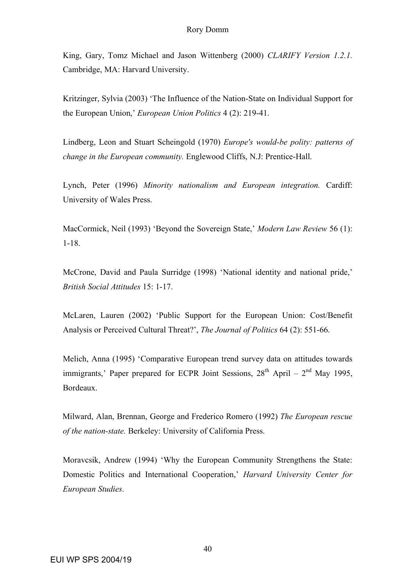King, Gary, Tomz Michael and Jason Wittenberg (2000) *CLARIFY Version 1.2.1.* Cambridge, MA: Harvard University.

Kritzinger, Sylvia (2003) 'The Influence of the Nation-State on Individual Support for the European Union,' *European Union Politics* 4 (2): 219-41.

Lindberg, Leon and Stuart Scheingold (1970) *Europe's would-be polity: patterns of change in the European community.* Englewood Cliffs, N.J: Prentice-Hall.

Lynch, Peter (1996) *Minority nationalism and European integration.* Cardiff: University of Wales Press.

MacCormick, Neil (1993) 'Beyond the Sovereign State,' *Modern Law Review* 56 (1): 1-18.

McCrone, David and Paula Surridge (1998) 'National identity and national pride,' *British Social Attitudes* 15: 1-17.

McLaren, Lauren (2002) 'Public Support for the European Union: Cost/Benefit Analysis or Perceived Cultural Threat?', *The Journal of Politics* 64 (2): 551-66.

Melich, Anna (1995) 'Comparative European trend survey data on attitudes towards immigrants,' Paper prepared for ECPR Joint Sessions,  $28<sup>th</sup>$  April –  $2<sup>nd</sup>$  May 1995, Bordeaux.

Milward, Alan, Brennan, George and Frederico Romero (1992) *The European rescue of the nation-state.* Berkeley: University of California Press.

Moravcsik, Andrew (1994) 'Why the European Community Strengthens the State: Domestic Politics and International Cooperation,' *Harvard University Center for European Studies*.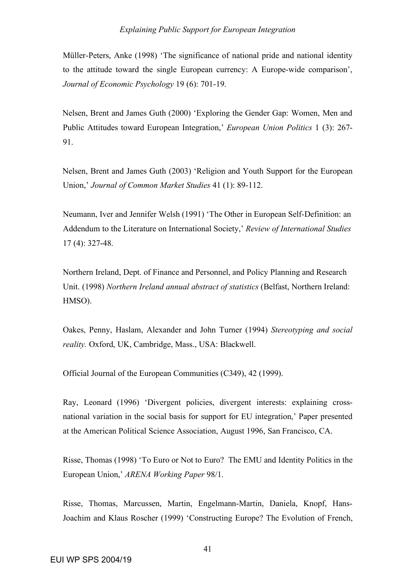Müller-Peters, Anke (1998) 'The significance of national pride and national identity to the attitude toward the single European currency: A Europe-wide comparison', *Journal of Economic Psychology* 19 (6): 701-19.

Nelsen, Brent and James Guth (2000) 'Exploring the Gender Gap: Women, Men and Public Attitudes toward European Integration,' *European Union Politics* 1 (3): 267- 91.

Nelsen, Brent and James Guth (2003) 'Religion and Youth Support for the European Union,' *Journal of Common Market Studies* 41 (1): 89-112.

Neumann, Iver and Jennifer Welsh (1991) 'The Other in European Self-Definition: an Addendum to the Literature on International Society,' *Review of International Studies* 17 (4): 327-48.

Northern Ireland, Dept. of Finance and Personnel, and Policy Planning and Research Unit. (1998) *Northern Ireland annual abstract of statistics* (Belfast, Northern Ireland: HMSO).

Oakes, Penny, Haslam, Alexander and John Turner (1994) *Stereotyping and social reality.* Oxford, UK, Cambridge, Mass., USA: Blackwell.

Official Journal of the European Communities (C349), 42 (1999).

Ray, Leonard (1996) 'Divergent policies, divergent interests: explaining crossnational variation in the social basis for support for EU integration,' Paper presented at the American Political Science Association, August 1996, San Francisco, CA.

Risse, Thomas (1998) 'To Euro or Not to Euro? The EMU and Identity Politics in the European Union,' *ARENA Working Paper* 98/1.

Risse, Thomas, Marcussen, Martin, Engelmann-Martin, Daniela, Knopf, Hans-Joachim and Klaus Roscher (1999) 'Constructing Europe? The Evolution of French,